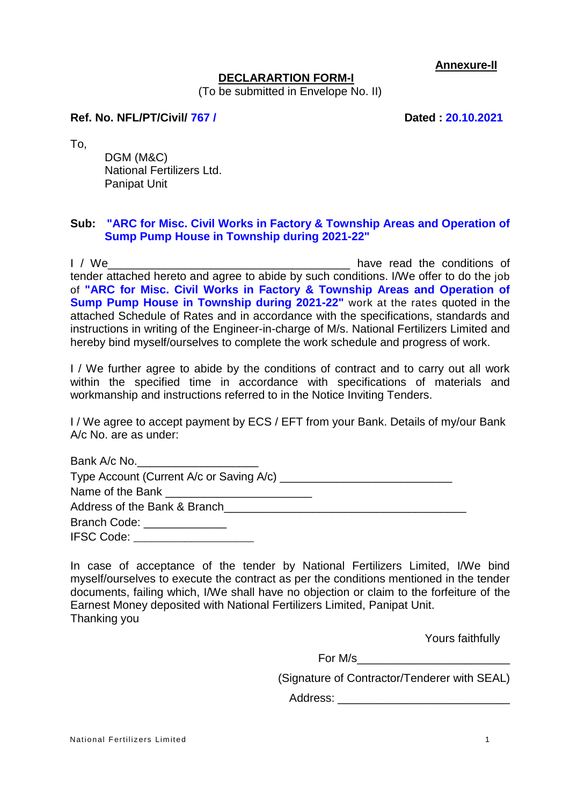**Annexure-II**

#### **DECLARARTION FORM-I**

(To be submitted in Envelope No. II)

#### **Ref. No. NFL/PT/Civil/ 767 / Dated : 20.10.2021**

To,

DGM (M&C) National Fertilizers Ltd. Panipat Unit

#### **Sub: "ARC for Misc. Civil Works in Factory & Township Areas and Operation of Sump Pump House in Township during 2021-22"**

I / We\_\_\_\_\_\_\_\_\_\_\_\_\_\_\_\_\_\_\_\_\_\_\_\_\_\_\_\_\_\_\_\_\_\_\_\_\_\_ have read the conditions of tender attached hereto and agree to abide by such conditions. I/We offer to do the job of **"ARC for Misc. Civil Works in Factory & Township Areas and Operation of Sump Pump House in Township during 2021-22"** work at the rates quoted in the attached Schedule of Rates and in accordance with the specifications, standards and instructions in writing of the Engineer-in-charge of M/s. National Fertilizers Limited and hereby bind myself/ourselves to complete the work schedule and progress of work.

I / We further agree to abide by the conditions of contract and to carry out all work within the specified time in accordance with specifications of materials and workmanship and instructions referred to in the Notice Inviting Tenders.

I / We agree to accept payment by ECS / EFT from your Bank. Details of my/our Bank A/c No. are as under:

| Bank A/c No.                                                            |  |
|-------------------------------------------------------------------------|--|
|                                                                         |  |
|                                                                         |  |
| Address of the Bank & Branch example and the state of the Bank & Branch |  |
| Branch Code: ______________                                             |  |
| IFSC Code: __________________                                           |  |

In case of acceptance of the tender by National Fertilizers Limited, I/We bind myself/ourselves to execute the contract as per the conditions mentioned in the tender documents, failing which, I/We shall have no objection or claim to the forfeiture of the Earnest Money deposited with National Fertilizers Limited, Panipat Unit. Thanking you

Yours faithfully

For M/s\_\_\_\_\_\_\_\_\_\_\_\_\_\_\_\_\_\_\_\_\_\_\_\_

(Signature of Contractor/Tenderer with SEAL)

Address: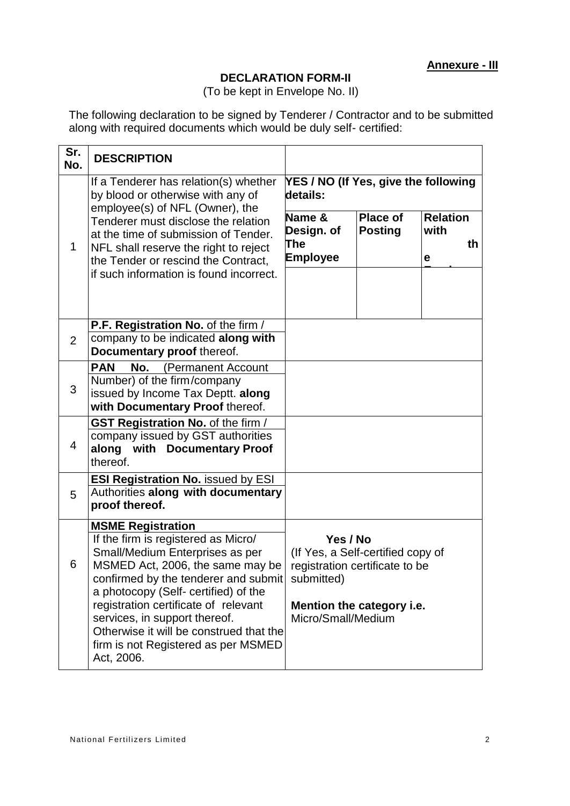## **DECLARATION FORM-II**

(To be kept in Envelope No. II)

The following declaration to be signed by Tenderer / Contractor and to be submitted along with required documents which would be duly self- certified:

| Sr.<br>No. | <b>DESCRIPTION</b>                                                                                                                                                                                                                                                                                                                                                                              |                                                  |                                                                                                  |                              |    |
|------------|-------------------------------------------------------------------------------------------------------------------------------------------------------------------------------------------------------------------------------------------------------------------------------------------------------------------------------------------------------------------------------------------------|--------------------------------------------------|--------------------------------------------------------------------------------------------------|------------------------------|----|
|            | If a Tenderer has relation(s) whether<br>by blood or otherwise with any of<br>employee(s) of NFL (Owner), the<br>Tenderer must disclose the relation<br>at the time of submission of Tender.<br>NFL shall reserve the right to reject<br>the Tender or rescind the Contract,                                                                                                                    | YES / NO (If Yes, give the following<br>details: |                                                                                                  |                              |    |
| 1          |                                                                                                                                                                                                                                                                                                                                                                                                 | Name &<br>Design. of<br>The<br><b>Employee</b>   | <b>Place of</b><br><b>Posting</b>                                                                | <b>Relation</b><br>with<br>е | th |
|            | if such information is found incorrect.                                                                                                                                                                                                                                                                                                                                                         |                                                  |                                                                                                  |                              |    |
| 2          | P.F. Registration No. of the firm /<br>company to be indicated along with<br>Documentary proof thereof.                                                                                                                                                                                                                                                                                         |                                                  |                                                                                                  |                              |    |
| 3          | <b>PAN</b><br>No.<br>(Permanent Account<br>Number) of the firm/company<br>issued by Income Tax Deptt. along<br>with Documentary Proof thereof.                                                                                                                                                                                                                                                  |                                                  |                                                                                                  |                              |    |
| 4          | GST Registration No. of the firm /<br>company issued by GST authorities<br>along with Documentary Proof<br>thereof.                                                                                                                                                                                                                                                                             |                                                  |                                                                                                  |                              |    |
| 5          | <b>ESI Registration No. issued by ESI</b><br>Authorities along with documentary<br>proof thereof.                                                                                                                                                                                                                                                                                               |                                                  |                                                                                                  |                              |    |
| 6          | <b>MSME Registration</b><br>If the firm is registered as Micro/<br>Small/Medium Enterprises as per<br>MSMED Act, 2006, the same may be<br>confirmed by the tenderer and submit<br>a photocopy (Self- certified) of the<br>registration certificate of relevant<br>services, in support thereof.<br>Otherwise it will be construed that the<br>firm is not Registered as per MSMED<br>Act, 2006. | Yes / No<br>submitted)<br>Micro/Small/Medium     | (If Yes, a Self-certified copy of<br>registration certificate to be<br>Mention the category i.e. |                              |    |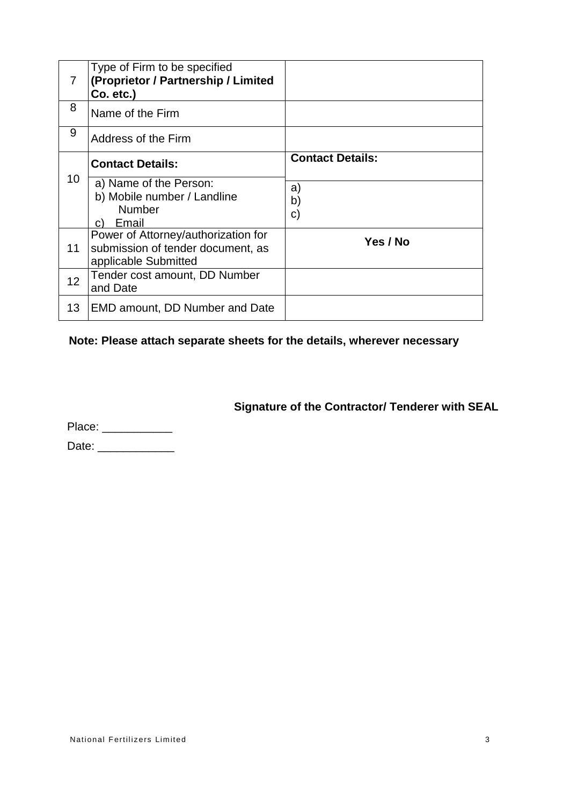| 7  | Type of Firm to be specified<br>(Proprietor / Partnership / Limited<br>$Co. etc.$ )              |                         |
|----|--------------------------------------------------------------------------------------------------|-------------------------|
| 8  | Name of the Firm                                                                                 |                         |
| 9  | Address of the Firm                                                                              |                         |
|    | <b>Contact Details:</b>                                                                          | <b>Contact Details:</b> |
| 10 | a) Name of the Person:<br>b) Mobile number / Landline<br><b>Number</b><br>Email<br>C)            | a)<br>b)<br>C)          |
| 11 | Power of Attorney/authorization for<br>submission of tender document, as<br>applicable Submitted | Yes / No                |
| 12 | Tender cost amount, DD Number<br>and Date                                                        |                         |
| 13 | <b>EMD amount, DD Number and Date</b>                                                            |                         |

# **Note: Please attach separate sheets for the details, wherever necessary**

**Signature of the Contractor/ Tenderer with SEAL**

Place: \_\_\_\_\_\_\_\_\_\_\_ Date: \_\_\_\_\_\_\_\_\_\_\_\_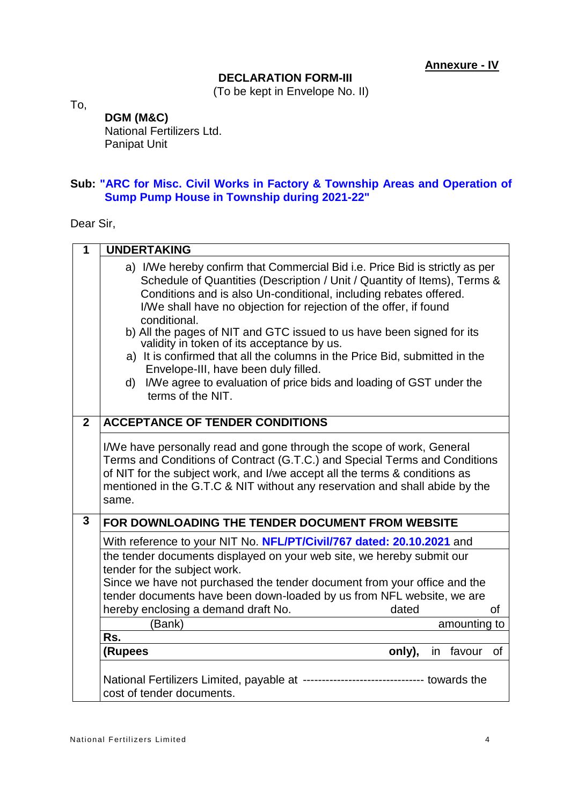#### **DECLARATION FORM-III**

(To be kept in Envelope No. II)

To,

# **DGM (M&C)**

National Fertilizers Ltd. Panipat Unit

## **Sub: "ARC for Misc. Civil Works in Factory & Township Areas and Operation of Sump Pump House in Township during 2021-22"**

Dear Sir,

| 1              | <b>UNDERTAKING</b>                                                                                                                                                                                                                                                                                                                                                                                                                                                                                                                                                                                                                                                |
|----------------|-------------------------------------------------------------------------------------------------------------------------------------------------------------------------------------------------------------------------------------------------------------------------------------------------------------------------------------------------------------------------------------------------------------------------------------------------------------------------------------------------------------------------------------------------------------------------------------------------------------------------------------------------------------------|
|                | a) I/We hereby confirm that Commercial Bid i.e. Price Bid is strictly as per<br>Schedule of Quantities (Description / Unit / Quantity of Items), Terms &<br>Conditions and is also Un-conditional, including rebates offered.<br>I/We shall have no objection for rejection of the offer, if found<br>conditional.<br>b) All the pages of NIT and GTC issued to us have been signed for its<br>validity in token of its acceptance by us.<br>a) It is confirmed that all the columns in the Price Bid, submitted in the<br>Envelope-III, have been duly filled.<br>I/We agree to evaluation of price bids and loading of GST under the<br>d)<br>terms of the NIT. |
| $\overline{2}$ | <b>ACCEPTANCE OF TENDER CONDITIONS</b>                                                                                                                                                                                                                                                                                                                                                                                                                                                                                                                                                                                                                            |
|                | I/We have personally read and gone through the scope of work, General<br>Terms and Conditions of Contract (G.T.C.) and Special Terms and Conditions<br>of NIT for the subject work, and I/we accept all the terms & conditions as<br>mentioned in the G.T.C & NIT without any reservation and shall abide by the<br>same.                                                                                                                                                                                                                                                                                                                                         |
| $\overline{3}$ | FOR DOWNLOADING THE TENDER DOCUMENT FROM WEBSITE                                                                                                                                                                                                                                                                                                                                                                                                                                                                                                                                                                                                                  |
|                | With reference to your NIT No. NFL/PT/Civil/767 dated: 20.10.2021 and                                                                                                                                                                                                                                                                                                                                                                                                                                                                                                                                                                                             |
|                | the tender documents displayed on your web site, we hereby submit our<br>tender for the subject work.<br>Since we have not purchased the tender document from your office and the<br>tender documents have been down-loaded by us from NFL website, we are<br>hereby enclosing a demand draft No.<br>dated<br>0f                                                                                                                                                                                                                                                                                                                                                  |
|                | (Bank)<br>amounting to<br>Rs.                                                                                                                                                                                                                                                                                                                                                                                                                                                                                                                                                                                                                                     |
|                | (Rupees<br>only),<br>favour<br>of<br>in                                                                                                                                                                                                                                                                                                                                                                                                                                                                                                                                                                                                                           |
|                |                                                                                                                                                                                                                                                                                                                                                                                                                                                                                                                                                                                                                                                                   |
|                | National Fertilizers Limited, payable at -------------------------------- towards the<br>cost of tender documents.                                                                                                                                                                                                                                                                                                                                                                                                                                                                                                                                                |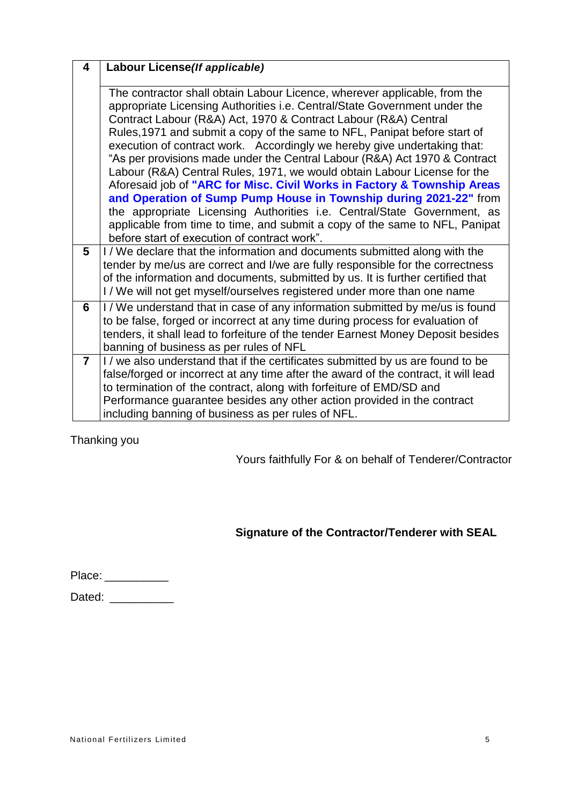| 4              | Labour License(If applicable)                                                                                                                                                                                                                                                                                                                                                                                                                                                                                                                                                                                                                                                                                                                                                                                                                                                                          |
|----------------|--------------------------------------------------------------------------------------------------------------------------------------------------------------------------------------------------------------------------------------------------------------------------------------------------------------------------------------------------------------------------------------------------------------------------------------------------------------------------------------------------------------------------------------------------------------------------------------------------------------------------------------------------------------------------------------------------------------------------------------------------------------------------------------------------------------------------------------------------------------------------------------------------------|
|                | The contractor shall obtain Labour Licence, wherever applicable, from the<br>appropriate Licensing Authorities i.e. Central/State Government under the<br>Contract Labour (R&A) Act, 1970 & Contract Labour (R&A) Central<br>Rules, 1971 and submit a copy of the same to NFL, Panipat before start of<br>execution of contract work. Accordingly we hereby give undertaking that:<br>"As per provisions made under the Central Labour (R&A) Act 1970 & Contract<br>Labour (R&A) Central Rules, 1971, we would obtain Labour License for the<br>Aforesaid job of "ARC for Misc. Civil Works in Factory & Township Areas<br>and Operation of Sump Pump House in Township during 2021-22" from<br>the appropriate Licensing Authorities i.e. Central/State Government, as<br>applicable from time to time, and submit a copy of the same to NFL, Panipat<br>before start of execution of contract work". |
| 5              | I/We declare that the information and documents submitted along with the<br>tender by me/us are correct and I/we are fully responsible for the correctness<br>of the information and documents, submitted by us. It is further certified that<br>I/We will not get myself/ourselves registered under more than one name                                                                                                                                                                                                                                                                                                                                                                                                                                                                                                                                                                                |
| 6              | I/We understand that in case of any information submitted by me/us is found<br>to be false, forged or incorrect at any time during process for evaluation of<br>tenders, it shall lead to forfeiture of the tender Earnest Money Deposit besides<br>banning of business as per rules of NFL                                                                                                                                                                                                                                                                                                                                                                                                                                                                                                                                                                                                            |
| $\overline{7}$ | I / we also understand that if the certificates submitted by us are found to be<br>false/forged or incorrect at any time after the award of the contract, it will lead<br>to termination of the contract, along with forfeiture of EMD/SD and<br>Performance guarantee besides any other action provided in the contract<br>including banning of business as per rules of NFL.                                                                                                                                                                                                                                                                                                                                                                                                                                                                                                                         |

Thanking you

Yours faithfully For & on behalf of Tenderer/Contractor

# **Signature of the Contractor/Tenderer with SEAL**

| Place: |  |  |
|--------|--|--|
|--------|--|--|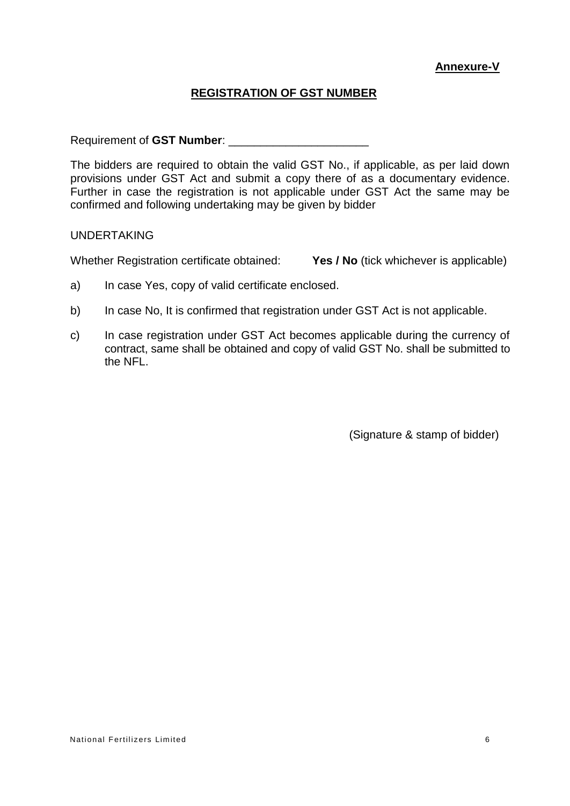## **Annexure-V**

# **REGISTRATION OF GST NUMBER**

Requirement of **GST Number**: \_\_\_\_\_\_\_\_\_\_\_\_\_\_\_\_\_\_\_\_\_\_

The bidders are required to obtain the valid GST No., if applicable, as per laid down provisions under GST Act and submit a copy there of as a documentary evidence. Further in case the registration is not applicable under GST Act the same may be confirmed and following undertaking may be given by bidder

UNDERTAKING

Whether Registration certificate obtained: **Yes / No** (tick whichever is applicable)

- a) In case Yes, copy of valid certificate enclosed.
- b) In case No, It is confirmed that registration under GST Act is not applicable.
- c) In case registration under GST Act becomes applicable during the currency of contract, same shall be obtained and copy of valid GST No. shall be submitted to the NFL.

(Signature & stamp of bidder)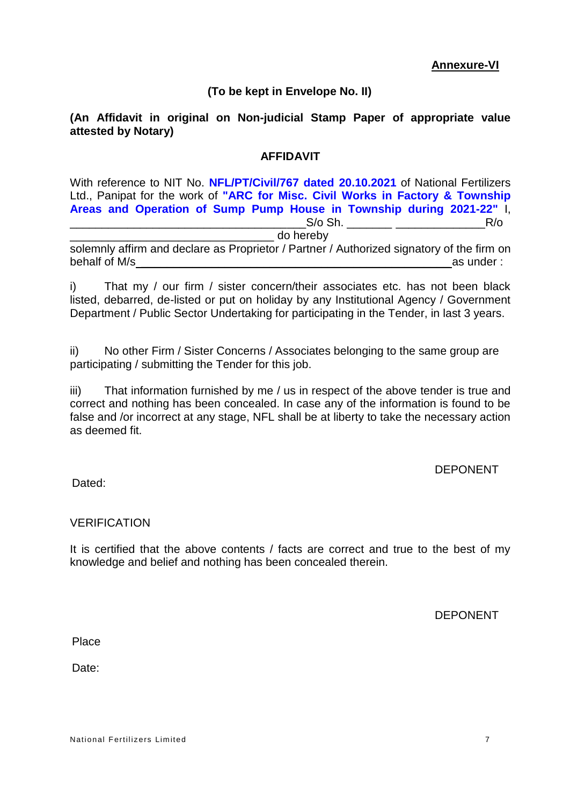## **(To be kept in Envelope No. II)**

## **(An Affidavit in original on Non-judicial Stamp Paper of appropriate value attested by Notary)**

## **AFFIDAVIT**

With reference to NIT No. **NFL/PT/Civil/767 dated 20.10.2021** of National Fertilizers Ltd., Panipat for the work of **"ARC for Misc. Civil Works in Factory & Township Areas and Operation of Sump Pump House in Township during 2021-22"** I,  $S$ /o Sh.  $R$ /o

\_\_\_\_\_\_\_\_\_\_\_\_\_\_\_\_\_\_\_\_\_\_\_\_\_\_\_\_\_\_\_\_ do hereby

solemnly affirm and declare as Proprietor / Partner / Authorized signatory of the firm on behalf of M/s  $\blacksquare$ 

i) That my / our firm / sister concern/their associates etc. has not been black listed, debarred, de-listed or put on holiday by any Institutional Agency / Government Department / Public Sector Undertaking for participating in the Tender, in last 3 years.

ii) No other Firm / Sister Concerns / Associates belonging to the same group are participating / submitting the Tender for this job.

iii) That information furnished by me / us in respect of the above tender is true and correct and nothing has been concealed. In case any of the information is found to be false and /or incorrect at any stage, NFL shall be at liberty to take the necessary action as deemed fit.

#### DEPONENT

Dated:

## **VERIFICATION**

It is certified that the above contents / facts are correct and true to the best of my knowledge and belief and nothing has been concealed therein.

DEPONENT

**Place** 

Date: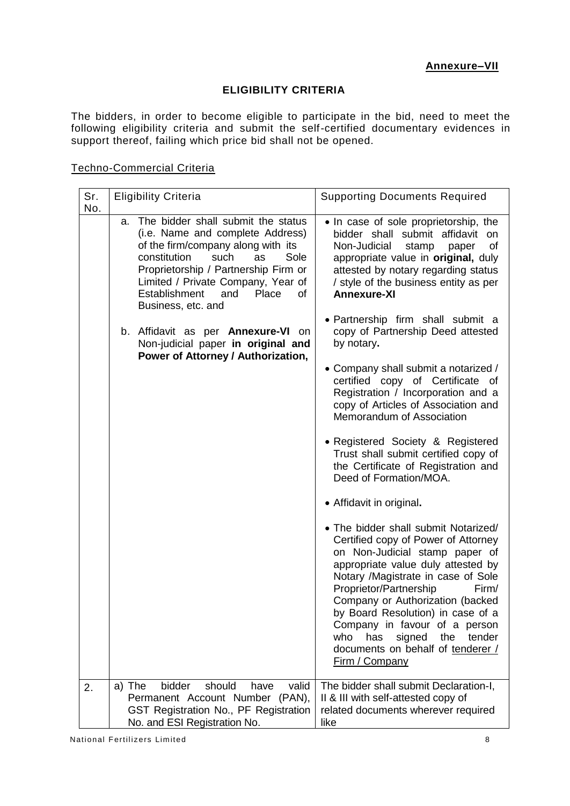## **ELIGIBILITY CRITERIA**

The bidders, in order to become eligible to participate in the bid, need to meet the following eligibility criteria and submit the self-certified documentary evidences in support thereof, failing which price bid shall not be opened.

| Sr.<br>No. | <b>Eligibility Criteria</b>                                                                                                                                                                                                                                                                                                                                                                                                  | <b>Supporting Documents Required</b>                                                                                                                                                                                                                                                                                                                                                                                                                                                                                                                                                                                                                                                                                                                                                                                                                                                                                                                                                                                                                                                                                                                                   |
|------------|------------------------------------------------------------------------------------------------------------------------------------------------------------------------------------------------------------------------------------------------------------------------------------------------------------------------------------------------------------------------------------------------------------------------------|------------------------------------------------------------------------------------------------------------------------------------------------------------------------------------------------------------------------------------------------------------------------------------------------------------------------------------------------------------------------------------------------------------------------------------------------------------------------------------------------------------------------------------------------------------------------------------------------------------------------------------------------------------------------------------------------------------------------------------------------------------------------------------------------------------------------------------------------------------------------------------------------------------------------------------------------------------------------------------------------------------------------------------------------------------------------------------------------------------------------------------------------------------------------|
|            | The bidder shall submit the status<br>a.<br>(i.e. Name and complete Address)<br>of the firm/company along with its<br>constitution<br>such<br>Sole<br>as<br>Proprietorship / Partnership Firm or<br>Limited / Private Company, Year of<br>Establishment<br>and<br>Place<br>οf<br>Business, etc. and<br>b. Affidavit as per <b>Annexure-VI</b> on<br>Non-judicial paper in original and<br>Power of Attorney / Authorization, | • In case of sole proprietorship, the<br>bidder shall submit affidavit<br>on<br>Non-Judicial<br>of<br>stamp<br>paper<br>appropriate value in original, duly<br>attested by notary regarding status<br>/ style of the business entity as per<br><b>Annexure-XI</b><br>• Partnership firm shall submit a<br>copy of Partnership Deed attested<br>by notary.<br>• Company shall submit a notarized /<br>certified copy of Certificate<br>of<br>Registration / Incorporation and a<br>copy of Articles of Association and<br>Memorandum of Association<br>• Registered Society & Registered<br>Trust shall submit certified copy of<br>the Certificate of Registration and<br>Deed of Formation/MOA.<br>• Affidavit in original.<br>• The bidder shall submit Notarized/<br>Certified copy of Power of Attorney<br>on Non-Judicial stamp paper of<br>appropriate value duly attested by<br>Notary /Magistrate in case of Sole<br>Proprietor/Partnership<br>Firm/<br>Company or Authorization (backed<br>by Board Resolution) in case of a<br>Company in favour of a person<br>has<br>signed<br>the<br>tender<br>who<br>documents on behalf of tenderer /<br>Firm / Company |
|            |                                                                                                                                                                                                                                                                                                                                                                                                                              |                                                                                                                                                                                                                                                                                                                                                                                                                                                                                                                                                                                                                                                                                                                                                                                                                                                                                                                                                                                                                                                                                                                                                                        |

#### Techno-Commercial Criteria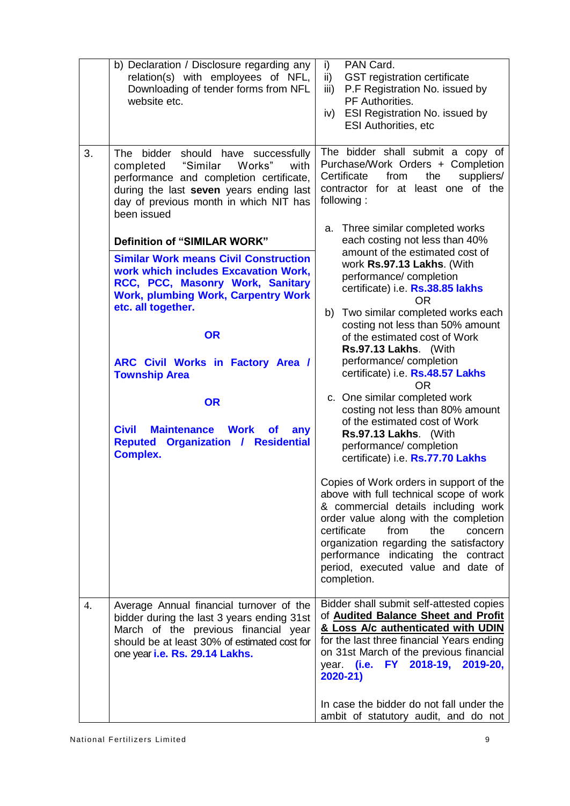|    | b) Declaration / Disclosure regarding any<br>relation(s) with employees of NFL,<br>Downloading of tender forms from NFL<br>website etc.                                                                                                                                                                       | PAN Card.<br>i)<br>$\mathsf{ii}$<br><b>GST</b> registration certificate<br>P.F Registration No. issued by<br>iii)<br>PF Authorities.<br><b>ESI Registration No. issued by</b><br>iv)<br><b>ESI Authorities, etc</b>                                                                                                                                                           |
|----|---------------------------------------------------------------------------------------------------------------------------------------------------------------------------------------------------------------------------------------------------------------------------------------------------------------|-------------------------------------------------------------------------------------------------------------------------------------------------------------------------------------------------------------------------------------------------------------------------------------------------------------------------------------------------------------------------------|
| 3. | The bidder should have successfully<br>"Similar<br>Works"<br>with<br>completed<br>performance and completion certificate,<br>during the last seven years ending last<br>day of previous month in which NIT has<br>been issued                                                                                 | The bidder shall submit a copy of<br>Purchase/Work Orders + Completion<br>from<br>Certificate<br>the<br>suppliers/<br>contractor for at least one of the<br>following:<br>Three similar completed works<br>a.                                                                                                                                                                 |
|    | <b>Definition of "SIMILAR WORK"</b><br><b>Similar Work means Civil Construction</b><br>work which includes Excavation Work,<br>RCC, PCC, Masonry Work, Sanitary<br><b>Work, plumbing Work, Carpentry Work</b><br>etc. all together.<br><b>OR</b><br>ARC Civil Works in Factory Area /<br><b>Township Area</b> | each costing not less than 40%<br>amount of the estimated cost of<br>work Rs.97.13 Lakhs. (With<br>performance/completion<br>certificate) i.e. Rs.38.85 lakhs<br><b>OR</b><br>b) Two similar completed works each<br>costing not less than 50% amount<br>of the estimated cost of Work<br>Rs.97.13 Lakhs. (With<br>performance/completion<br>certificate) i.e. Rs.48.57 Lakhs |
|    | <b>OR</b><br><b>Civil</b><br><b>Maintenance</b><br><b>Work</b><br><b>of</b><br>any<br>Reputed Organization / Residential<br><b>Complex.</b>                                                                                                                                                                   | OR.<br>c. One similar completed work<br>costing not less than 80% amount<br>of the estimated cost of Work<br>Rs.97.13 Lakhs. (With<br>performance/completion<br>certificate) i.e. Rs.77.70 Lakhs                                                                                                                                                                              |
|    |                                                                                                                                                                                                                                                                                                               | Copies of Work orders in support of the<br>above with full technical scope of work<br>& commercial details including work<br>order value along with the completion<br>certificate<br>from<br>the<br>concern<br>organization regarding the satisfactory<br>performance indicating the contract<br>period, executed value and date of<br>completion.                            |
| 4. | Average Annual financial turnover of the<br>bidder during the last 3 years ending 31st<br>March of the previous financial year<br>should be at least 30% of estimated cost for<br>one year i.e. Rs. 29.14 Lakhs.                                                                                              | Bidder shall submit self-attested copies<br>of <b>Audited Balance Sheet and Profit</b><br>& Loss A/c authenticated with UDIN<br>for the last three financial Years ending<br>on 31st March of the previous financial<br>year. (i.e.<br>FY 2018-19, 2019-20,<br>$2020 - 21$                                                                                                    |
|    |                                                                                                                                                                                                                                                                                                               | In case the bidder do not fall under the<br>ambit of statutory audit, and do not                                                                                                                                                                                                                                                                                              |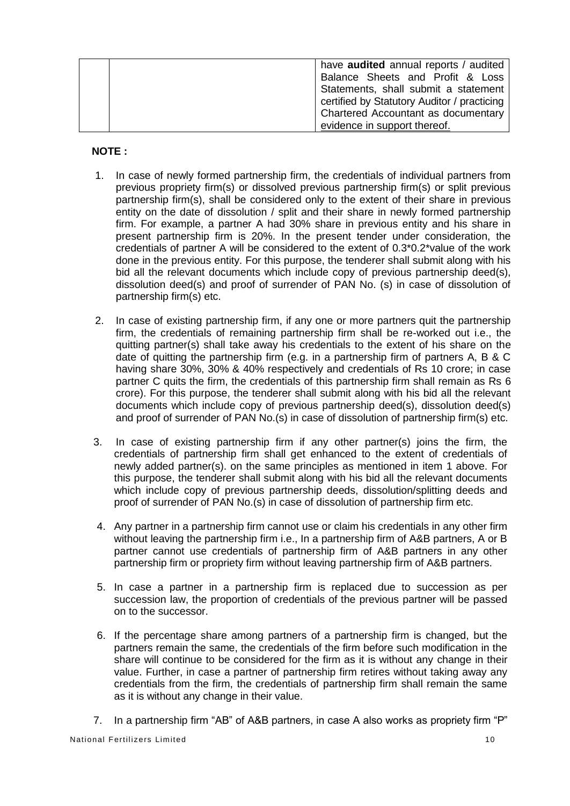|  | have <b>audited</b> annual reports / audited |
|--|----------------------------------------------|
|  | Balance Sheets and Profit & Loss             |
|  | Statements, shall submit a statement         |
|  | certified by Statutory Auditor / practicing  |
|  | Chartered Accountant as documentary          |
|  | evidence in support thereof.                 |

#### **NOTE :**

- 1. In case of newly formed partnership firm, the credentials of individual partners from previous propriety firm(s) or dissolved previous partnership firm(s) or split previous partnership firm(s), shall be considered only to the extent of their share in previous entity on the date of dissolution / split and their share in newly formed partnership firm. For example, a partner A had 30% share in previous entity and his share in present partnership firm is 20%. In the present tender under consideration, the credentials of partner A will be considered to the extent of 0.3\*0.2\*value of the work done in the previous entity. For this purpose, the tenderer shall submit along with his bid all the relevant documents which include copy of previous partnership deed(s), dissolution deed(s) and proof of surrender of PAN No. (s) in case of dissolution of partnership firm(s) etc.
- 2. In case of existing partnership firm, if any one or more partners quit the partnership firm, the credentials of remaining partnership firm shall be re-worked out i.e., the quitting partner(s) shall take away his credentials to the extent of his share on the date of quitting the partnership firm (e.g. in a partnership firm of partners A, B & C having share 30%, 30% & 40% respectively and credentials of Rs 10 crore; in case partner C quits the firm, the credentials of this partnership firm shall remain as Rs 6 crore). For this purpose, the tenderer shall submit along with his bid all the relevant documents which include copy of previous partnership deed(s), dissolution deed(s) and proof of surrender of PAN No.(s) in case of dissolution of partnership firm(s) etc.
- 3. In case of existing partnership firm if any other partner(s) joins the firm, the credentials of partnership firm shall get enhanced to the extent of credentials of newly added partner(s). on the same principles as mentioned in item 1 above. For this purpose, the tenderer shall submit along with his bid all the relevant documents which include copy of previous partnership deeds, dissolution/splitting deeds and proof of surrender of PAN No.(s) in case of dissolution of partnership firm etc.
- 4. Any partner in a partnership firm cannot use or claim his credentials in any other firm without leaving the partnership firm i.e., In a partnership firm of A&B partners, A or B partner cannot use credentials of partnership firm of A&B partners in any other partnership firm or propriety firm without leaving partnership firm of A&B partners.
- 5. In case a partner in a partnership firm is replaced due to succession as per succession law, the proportion of credentials of the previous partner will be passed on to the successor.
- 6. If the percentage share among partners of a partnership firm is changed, but the partners remain the same, the credentials of the firm before such modification in the share will continue to be considered for the firm as it is without any change in their value. Further, in case a partner of partnership firm retires without taking away any credentials from the firm, the credentials of partnership firm shall remain the same as it is without any change in their value.
- 7. In a partnership firm "AB" of A&B partners, in case A also works as propriety firm "P"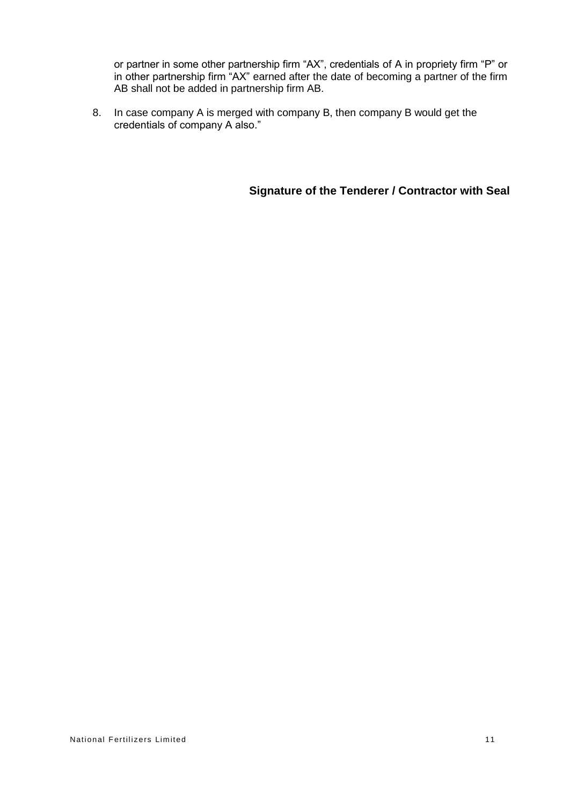or partner in some other partnership firm "AX", credentials of A in propriety firm "P" or in other partnership firm "AX" earned after the date of becoming a partner of the firm AB shall not be added in partnership firm AB.

8. In case company A is merged with company B, then company B would get the credentials of company A also."

**Signature of the Tenderer / Contractor with Seal**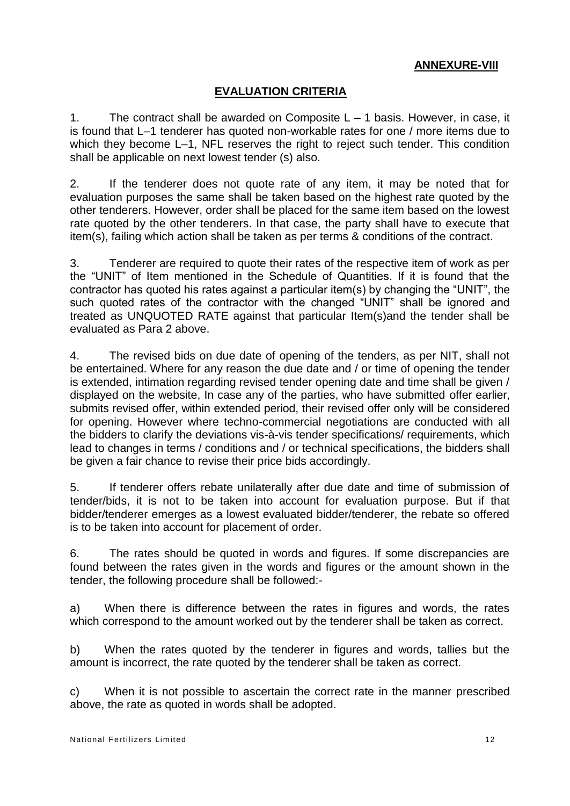## **ANNEXURE-VIII**

# **EVALUATION CRITERIA**

1. The contract shall be awarded on Composite  $L - 1$  basis. However, in case, it is found that L–1 tenderer has quoted non-workable rates for one / more items due to which they become L–1, NFL reserves the right to reject such tender. This condition shall be applicable on next lowest tender (s) also.

2. If the tenderer does not quote rate of any item, it may be noted that for evaluation purposes the same shall be taken based on the highest rate quoted by the other tenderers. However, order shall be placed for the same item based on the lowest rate quoted by the other tenderers. In that case, the party shall have to execute that item(s), failing which action shall be taken as per terms & conditions of the contract.

3. Tenderer are required to quote their rates of the respective item of work as per the "UNIT" of Item mentioned in the Schedule of Quantities. If it is found that the contractor has quoted his rates against a particular item(s) by changing the "UNIT", the such quoted rates of the contractor with the changed "UNIT" shall be ignored and treated as UNQUOTED RATE against that particular Item(s)and the tender shall be evaluated as Para 2 above.

4. The revised bids on due date of opening of the tenders, as per NIT, shall not be entertained. Where for any reason the due date and / or time of opening the tender is extended, intimation regarding revised tender opening date and time shall be given / displayed on the website, In case any of the parties, who have submitted offer earlier, submits revised offer, within extended period, their revised offer only will be considered for opening. However where techno-commercial negotiations are conducted with all the bidders to clarify the deviations vis-à-vis tender specifications/ requirements, which lead to changes in terms / conditions and / or technical specifications, the bidders shall be given a fair chance to revise their price bids accordingly.

5. If tenderer offers rebate unilaterally after due date and time of submission of tender/bids, it is not to be taken into account for evaluation purpose. But if that bidder/tenderer emerges as a lowest evaluated bidder/tenderer, the rebate so offered is to be taken into account for placement of order.

6. The rates should be quoted in words and figures. If some discrepancies are found between the rates given in the words and figures or the amount shown in the tender, the following procedure shall be followed:-

a) When there is difference between the rates in figures and words, the rates which correspond to the amount worked out by the tenderer shall be taken as correct.

b) When the rates quoted by the tenderer in figures and words, tallies but the amount is incorrect, the rate quoted by the tenderer shall be taken as correct.

c) When it is not possible to ascertain the correct rate in the manner prescribed above, the rate as quoted in words shall be adopted.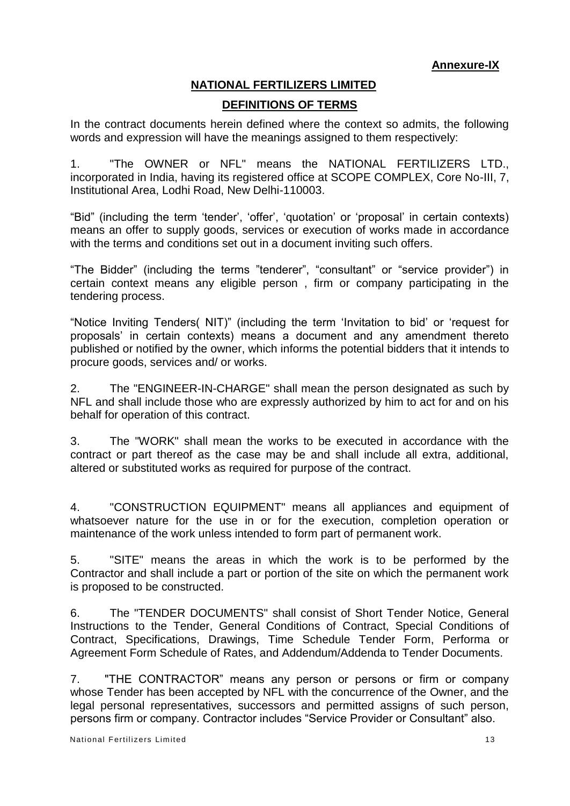# **NATIONAL FERTILIZERS LIMITED DEFINITIONS OF TERMS**

In the contract documents herein defined where the context so admits, the following words and expression will have the meanings assigned to them respectively:

1. "The OWNER or NFL" means the NATIONAL FERTILIZERS LTD., incorporated in India, having its registered office at SCOPE COMPLEX, Core No-III, 7, Institutional Area, Lodhi Road, New Delhi-110003.

"Bid" (including the term 'tender', 'offer', 'quotation' or 'proposal' in certain contexts) means an offer to supply goods, services or execution of works made in accordance with the terms and conditions set out in a document inviting such offers.

"The Bidder" (including the terms "tenderer", "consultant" or "service provider") in certain context means any eligible person , firm or company participating in the tendering process.

"Notice Inviting Tenders( NIT)" (including the term 'Invitation to bid' or 'request for proposals' in certain contexts) means a document and any amendment thereto published or notified by the owner, which informs the potential bidders that it intends to procure goods, services and/ or works.

2. The "ENGINEER-IN-CHARGE" shall mean the person designated as such by NFL and shall include those who are expressly authorized by him to act for and on his behalf for operation of this contract.

3. The "WORK" shall mean the works to be executed in accordance with the contract or part thereof as the case may be and shall include all extra, additional, altered or substituted works as required for purpose of the contract.

4. "CONSTRUCTION EQUIPMENT" means all appliances and equipment of whatsoever nature for the use in or for the execution, completion operation or maintenance of the work unless intended to form part of permanent work.

5. "SITE" means the areas in which the work is to be performed by the Contractor and shall include a part or portion of the site on which the permanent work is proposed to be constructed.

6. The "TENDER DOCUMENTS" shall consist of Short Tender Notice, General Instructions to the Tender, General Conditions of Contract, Special Conditions of Contract, Specifications, Drawings, Time Schedule Tender Form, Performa or Agreement Form Schedule of Rates, and Addendum/Addenda to Tender Documents.

7. "THE CONTRACTOR" means any person or persons or firm or company whose Tender has been accepted by NFL with the concurrence of the Owner, and the legal personal representatives, successors and permitted assigns of such person, persons firm or company. Contractor includes "Service Provider or Consultant" also.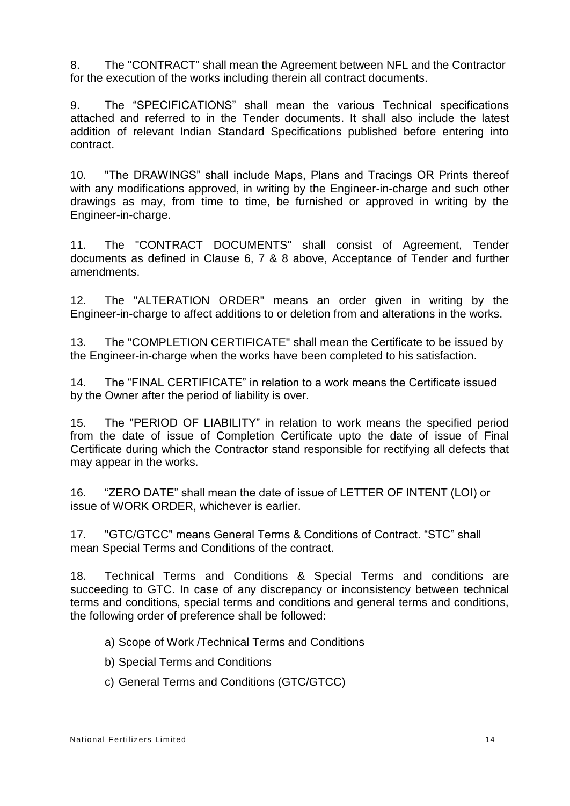8. The "CONTRACT" shall mean the Agreement between NFL and the Contractor for the execution of the works including therein all contract documents.

9. The "SPECIFICATIONS" shall mean the various Technical specifications attached and referred to in the Tender documents. It shall also include the latest addition of relevant Indian Standard Specifications published before entering into contract.

10. "The DRAWINGS" shall include Maps, Plans and Tracings OR Prints thereof with any modifications approved, in writing by the Engineer-in-charge and such other drawings as may, from time to time, be furnished or approved in writing by the Engineer-in-charge.

11. The "CONTRACT DOCUMENTS" shall consist of Agreement, Tender documents as defined in Clause 6, 7 & 8 above, Acceptance of Tender and further amendments.

12. The "ALTERATION ORDER" means an order given in writing by the Engineer-in-charge to affect additions to or deletion from and alterations in the works.

13. The "COMPLETION CERTIFICATE" shall mean the Certificate to be issued by the Engineer-in-charge when the works have been completed to his satisfaction.

14. The "FINAL CERTIFICATE" in relation to a work means the Certificate issued by the Owner after the period of liability is over.

15. The "PERIOD OF LIABILITY" in relation to work means the specified period from the date of issue of Completion Certificate upto the date of issue of Final Certificate during which the Contractor stand responsible for rectifying all defects that may appear in the works.

16. "ZERO DATE" shall mean the date of issue of LETTER OF INTENT (LOI) or issue of WORK ORDER, whichever is earlier.

17. "GTC/GTCC" means General Terms & Conditions of Contract. "STC" shall mean Special Terms and Conditions of the contract.

18. Technical Terms and Conditions & Special Terms and conditions are succeeding to GTC. In case of any discrepancy or inconsistency between technical terms and conditions, special terms and conditions and general terms and conditions, the following order of preference shall be followed:

- a) Scope of Work /Technical Terms and Conditions
- b) Special Terms and Conditions
- c) General Terms and Conditions (GTC/GTCC)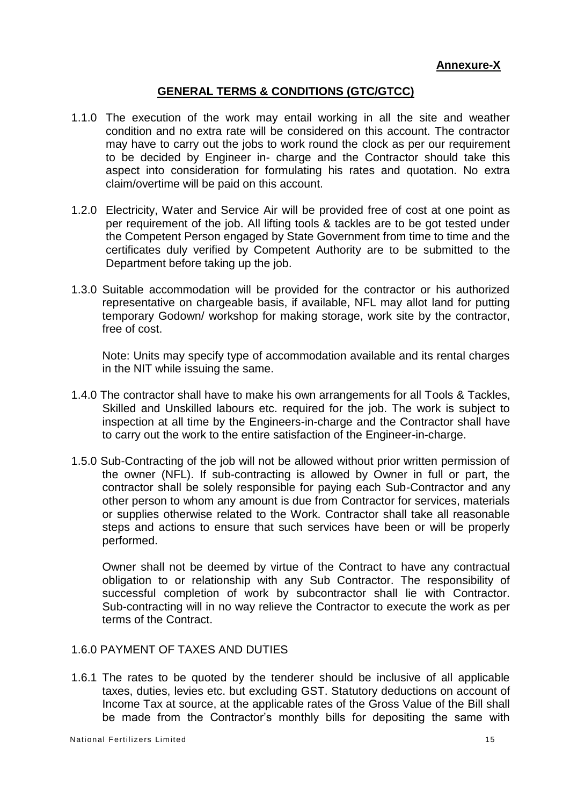## **GENERAL TERMS & CONDITIONS (GTC/GTCC)**

- 1.1.0 The execution of the work may entail working in all the site and weather condition and no extra rate will be considered on this account. The contractor may have to carry out the jobs to work round the clock as per our requirement to be decided by Engineer in- charge and the Contractor should take this aspect into consideration for formulating his rates and quotation. No extra claim/overtime will be paid on this account.
- 1.2.0 Electricity, Water and Service Air will be provided free of cost at one point as per requirement of the job. All lifting tools & tackles are to be got tested under the Competent Person engaged by State Government from time to time and the certificates duly verified by Competent Authority are to be submitted to the Department before taking up the job.
- 1.3.0 Suitable accommodation will be provided for the contractor or his authorized representative on chargeable basis, if available, NFL may allot land for putting temporary Godown/ workshop for making storage, work site by the contractor, free of cost.

Note: Units may specify type of accommodation available and its rental charges in the NIT while issuing the same.

- 1.4.0 The contractor shall have to make his own arrangements for all Tools & Tackles, Skilled and Unskilled labours etc. required for the job. The work is subject to inspection at all time by the Engineers-in-charge and the Contractor shall have to carry out the work to the entire satisfaction of the Engineer-in-charge.
- 1.5.0 Sub-Contracting of the job will not be allowed without prior written permission of the owner (NFL). If sub-contracting is allowed by Owner in full or part, the contractor shall be solely responsible for paying each Sub-Contractor and any other person to whom any amount is due from Contractor for services, materials or supplies otherwise related to the Work. Contractor shall take all reasonable steps and actions to ensure that such services have been or will be properly performed.

Owner shall not be deemed by virtue of the Contract to have any contractual obligation to or relationship with any Sub Contractor. The responsibility of successful completion of work by subcontractor shall lie with Contractor. Sub-contracting will in no way relieve the Contractor to execute the work as per terms of the Contract.

## 1.6.0 PAYMENT OF TAXES AND DUTIES

1.6.1 The rates to be quoted by the tenderer should be inclusive of all applicable taxes, duties, levies etc. but excluding GST. Statutory deductions on account of Income Tax at source, at the applicable rates of the Gross Value of the Bill shall be made from the Contractor's monthly bills for depositing the same with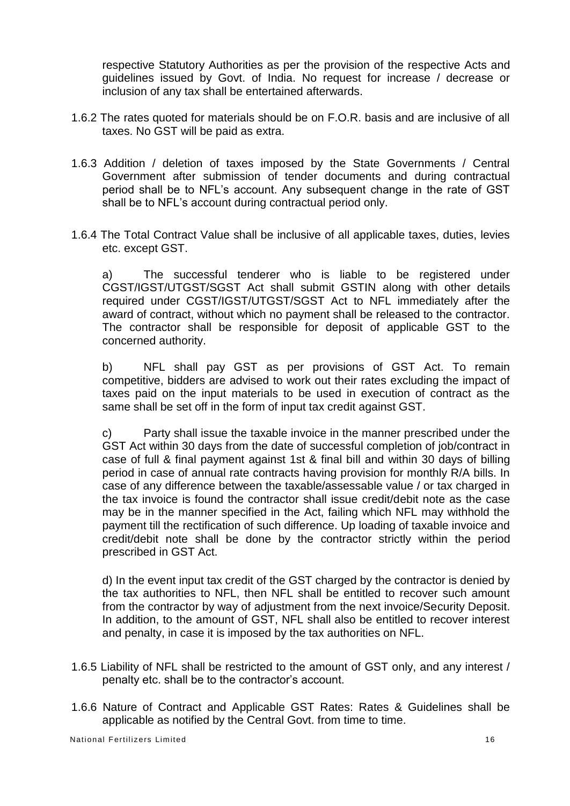respective Statutory Authorities as per the provision of the respective Acts and guidelines issued by Govt. of India. No request for increase / decrease or inclusion of any tax shall be entertained afterwards.

- 1.6.2 The rates quoted for materials should be on F.O.R. basis and are inclusive of all taxes. No GST will be paid as extra.
- 1.6.3 Addition / deletion of taxes imposed by the State Governments / Central Government after submission of tender documents and during contractual period shall be to NFL's account. Any subsequent change in the rate of GST shall be to NFL's account during contractual period only.
- 1.6.4 The Total Contract Value shall be inclusive of all applicable taxes, duties, levies etc. except GST.

a) The successful tenderer who is liable to be registered under CGST/IGST/UTGST/SGST Act shall submit GSTIN along with other details required under CGST/IGST/UTGST/SGST Act to NFL immediately after the award of contract, without which no payment shall be released to the contractor. The contractor shall be responsible for deposit of applicable GST to the concerned authority.

b) NFL shall pay GST as per provisions of GST Act. To remain competitive, bidders are advised to work out their rates excluding the impact of taxes paid on the input materials to be used in execution of contract as the same shall be set off in the form of input tax credit against GST.

c) Party shall issue the taxable invoice in the manner prescribed under the GST Act within 30 days from the date of successful completion of job/contract in case of full & final payment against 1st & final bill and within 30 days of billing period in case of annual rate contracts having provision for monthly R/A bills. In case of any difference between the taxable/assessable value / or tax charged in the tax invoice is found the contractor shall issue credit/debit note as the case may be in the manner specified in the Act, failing which NFL may withhold the payment till the rectification of such difference. Up loading of taxable invoice and credit/debit note shall be done by the contractor strictly within the period prescribed in GST Act.

d) In the event input tax credit of the GST charged by the contractor is denied by the tax authorities to NFL, then NFL shall be entitled to recover such amount from the contractor by way of adjustment from the next invoice/Security Deposit. In addition, to the amount of GST, NFL shall also be entitled to recover interest and penalty, in case it is imposed by the tax authorities on NFL.

- 1.6.5 Liability of NFL shall be restricted to the amount of GST only, and any interest / penalty etc. shall be to the contractor's account.
- 1.6.6 Nature of Contract and Applicable GST Rates: Rates & Guidelines shall be applicable as notified by the Central Govt. from time to time.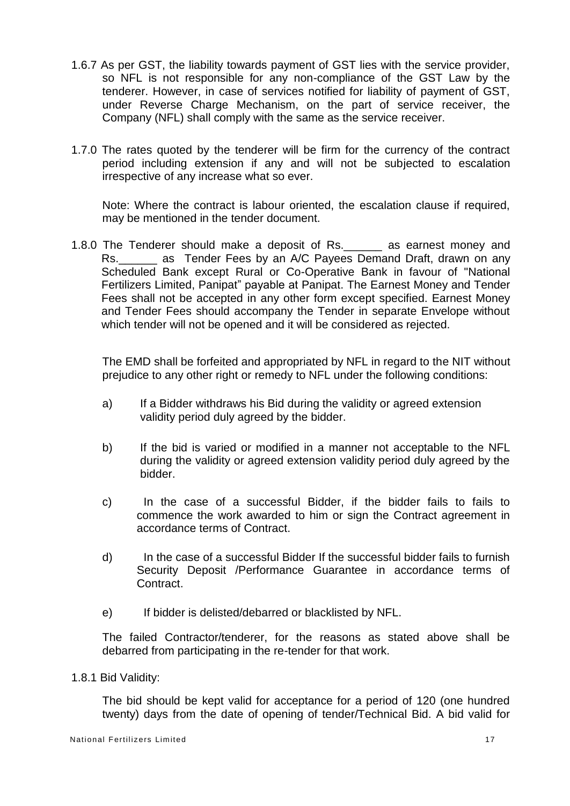- 1.6.7 As per GST, the liability towards payment of GST lies with the service provider, so NFL is not responsible for any non-compliance of the GST Law by the tenderer. However, in case of services notified for liability of payment of GST, under Reverse Charge Mechanism, on the part of service receiver, the Company (NFL) shall comply with the same as the service receiver.
- 1.7.0 The rates quoted by the tenderer will be firm for the currency of the contract period including extension if any and will not be subjected to escalation irrespective of any increase what so ever.

Note: Where the contract is labour oriented, the escalation clause if required, may be mentioned in the tender document.

1.8.0 The Tenderer should make a deposit of Rs.\_\_\_\_\_\_ as earnest money and Rs. as Tender Fees by an A/C Payees Demand Draft, drawn on any Scheduled Bank except Rural or Co-Operative Bank in favour of "National Fertilizers Limited, Panipat" payable at Panipat. The Earnest Money and Tender Fees shall not be accepted in any other form except specified. Earnest Money and Tender Fees should accompany the Tender in separate Envelope without which tender will not be opened and it will be considered as rejected.

The EMD shall be forfeited and appropriated by NFL in regard to the NIT without prejudice to any other right or remedy to NFL under the following conditions:

- a) If a Bidder withdraws his Bid during the validity or agreed extension validity period duly agreed by the bidder.
- b) If the bid is varied or modified in a manner not acceptable to the NFL during the validity or agreed extension validity period duly agreed by the bidder.
- c) In the case of a successful Bidder, if the bidder fails to fails to commence the work awarded to him or sign the Contract agreement in accordance terms of Contract.
- d) In the case of a successful Bidder If the successful bidder fails to furnish Security Deposit /Performance Guarantee in accordance terms of Contract.
- e) If bidder is delisted/debarred or blacklisted by NFL.

The failed Contractor/tenderer, for the reasons as stated above shall be debarred from participating in the re-tender for that work.

1.8.1 Bid Validity:

The bid should be kept valid for acceptance for a period of 120 (one hundred twenty) days from the date of opening of tender/Technical Bid. A bid valid for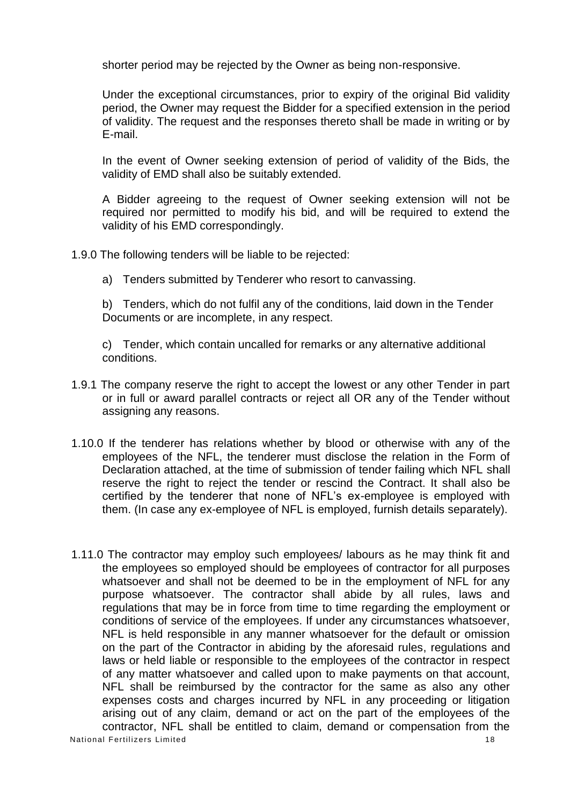shorter period may be rejected by the Owner as being non-responsive.

Under the exceptional circumstances, prior to expiry of the original Bid validity period, the Owner may request the Bidder for a specified extension in the period of validity. The request and the responses thereto shall be made in writing or by E-mail.

In the event of Owner seeking extension of period of validity of the Bids, the validity of EMD shall also be suitably extended.

A Bidder agreeing to the request of Owner seeking extension will not be required nor permitted to modify his bid, and will be required to extend the validity of his EMD correspondingly.

- 1.9.0 The following tenders will be liable to be rejected:
	- a) Tenders submitted by Tenderer who resort to canvassing.

b) Tenders, which do not fulfil any of the conditions, laid down in the Tender Documents or are incomplete, in any respect.

c) Tender, which contain uncalled for remarks or any alternative additional conditions.

- 1.9.1 The company reserve the right to accept the lowest or any other Tender in part or in full or award parallel contracts or reject all OR any of the Tender without assigning any reasons.
- 1.10.0 If the tenderer has relations whether by blood or otherwise with any of the employees of the NFL, the tenderer must disclose the relation in the Form of Declaration attached, at the time of submission of tender failing which NFL shall reserve the right to reject the tender or rescind the Contract. It shall also be certified by the tenderer that none of NFL's ex-employee is employed with them. (In case any ex-employee of NFL is employed, furnish details separately).
- National Fertilizers Limited 18 1.11.0 The contractor may employ such employees/ labours as he may think fit and the employees so employed should be employees of contractor for all purposes whatsoever and shall not be deemed to be in the employment of NFL for any purpose whatsoever. The contractor shall abide by all rules, laws and regulations that may be in force from time to time regarding the employment or conditions of service of the employees. If under any circumstances whatsoever, NFL is held responsible in any manner whatsoever for the default or omission on the part of the Contractor in abiding by the aforesaid rules, regulations and laws or held liable or responsible to the employees of the contractor in respect of any matter whatsoever and called upon to make payments on that account, NFL shall be reimbursed by the contractor for the same as also any other expenses costs and charges incurred by NFL in any proceeding or litigation arising out of any claim, demand or act on the part of the employees of the contractor, NFL shall be entitled to claim, demand or compensation from the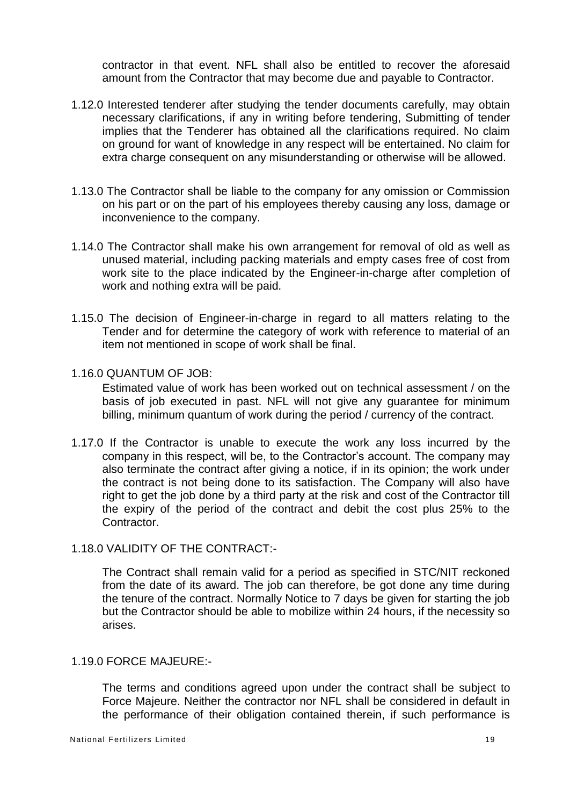contractor in that event. NFL shall also be entitled to recover the aforesaid amount from the Contractor that may become due and payable to Contractor.

- 1.12.0 Interested tenderer after studying the tender documents carefully, may obtain necessary clarifications, if any in writing before tendering, Submitting of tender implies that the Tenderer has obtained all the clarifications required. No claim on ground for want of knowledge in any respect will be entertained. No claim for extra charge consequent on any misunderstanding or otherwise will be allowed.
- 1.13.0 The Contractor shall be liable to the company for any omission or Commission on his part or on the part of his employees thereby causing any loss, damage or inconvenience to the company.
- 1.14.0 The Contractor shall make his own arrangement for removal of old as well as unused material, including packing materials and empty cases free of cost from work site to the place indicated by the Engineer-in-charge after completion of work and nothing extra will be paid.
- 1.15.0 The decision of Engineer-in-charge in regard to all matters relating to the Tender and for determine the category of work with reference to material of an item not mentioned in scope of work shall be final.
- 1.16.0 QUANTUM OF JOB:

Estimated value of work has been worked out on technical assessment / on the basis of job executed in past. NFL will not give any guarantee for minimum billing, minimum quantum of work during the period / currency of the contract.

- 1.17.0 If the Contractor is unable to execute the work any loss incurred by the company in this respect, will be, to the Contractor's account. The company may also terminate the contract after giving a notice, if in its opinion; the work under the contract is not being done to its satisfaction. The Company will also have right to get the job done by a third party at the risk and cost of the Contractor till the expiry of the period of the contract and debit the cost plus 25% to the **Contractor**
- 1.18.0 VALIDITY OF THE CONTRACT:-

The Contract shall remain valid for a period as specified in STC/NIT reckoned from the date of its award. The job can therefore, be got done any time during the tenure of the contract. Normally Notice to 7 days be given for starting the job but the Contractor should be able to mobilize within 24 hours, if the necessity so arises.

## 1.19.0 FORCE MAJEURE:-

The terms and conditions agreed upon under the contract shall be subject to Force Majeure. Neither the contractor nor NFL shall be considered in default in the performance of their obligation contained therein, if such performance is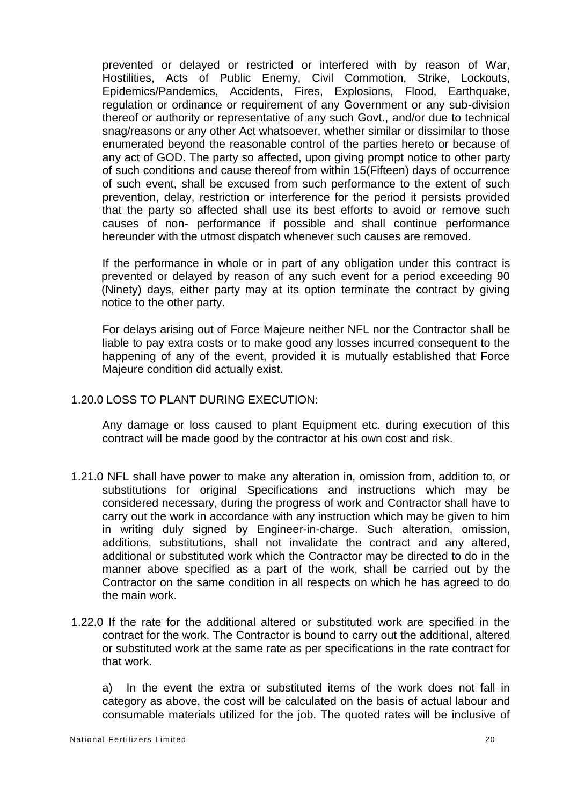prevented or delayed or restricted or interfered with by reason of War, Hostilities, Acts of Public Enemy, Civil Commotion, Strike, Lockouts, Epidemics/Pandemics, Accidents, Fires, Explosions, Flood, Earthquake, regulation or ordinance or requirement of any Government or any sub-division thereof or authority or representative of any such Govt., and/or due to technical snag/reasons or any other Act whatsoever, whether similar or dissimilar to those enumerated beyond the reasonable control of the parties hereto or because of any act of GOD. The party so affected, upon giving prompt notice to other party of such conditions and cause thereof from within 15(Fifteen) days of occurrence of such event, shall be excused from such performance to the extent of such prevention, delay, restriction or interference for the period it persists provided that the party so affected shall use its best efforts to avoid or remove such causes of non- performance if possible and shall continue performance hereunder with the utmost dispatch whenever such causes are removed.

If the performance in whole or in part of any obligation under this contract is prevented or delayed by reason of any such event for a period exceeding 90 (Ninety) days, either party may at its option terminate the contract by giving notice to the other party.

For delays arising out of Force Majeure neither NFL nor the Contractor shall be liable to pay extra costs or to make good any losses incurred consequent to the happening of any of the event, provided it is mutually established that Force Majeure condition did actually exist.

## 1.20.0 LOSS TO PLANT DURING EXECUTION:

Any damage or loss caused to plant Equipment etc. during execution of this contract will be made good by the contractor at his own cost and risk.

- 1.21.0 NFL shall have power to make any alteration in, omission from, addition to, or substitutions for original Specifications and instructions which may be considered necessary, during the progress of work and Contractor shall have to carry out the work in accordance with any instruction which may be given to him in writing duly signed by Engineer-in-charge. Such alteration, omission, additions, substitutions, shall not invalidate the contract and any altered, additional or substituted work which the Contractor may be directed to do in the manner above specified as a part of the work, shall be carried out by the Contractor on the same condition in all respects on which he has agreed to do the main work.
- 1.22.0 If the rate for the additional altered or substituted work are specified in the contract for the work. The Contractor is bound to carry out the additional, altered or substituted work at the same rate as per specifications in the rate contract for that work.

a) In the event the extra or substituted items of the work does not fall in category as above, the cost will be calculated on the basis of actual labour and consumable materials utilized for the job. The quoted rates will be inclusive of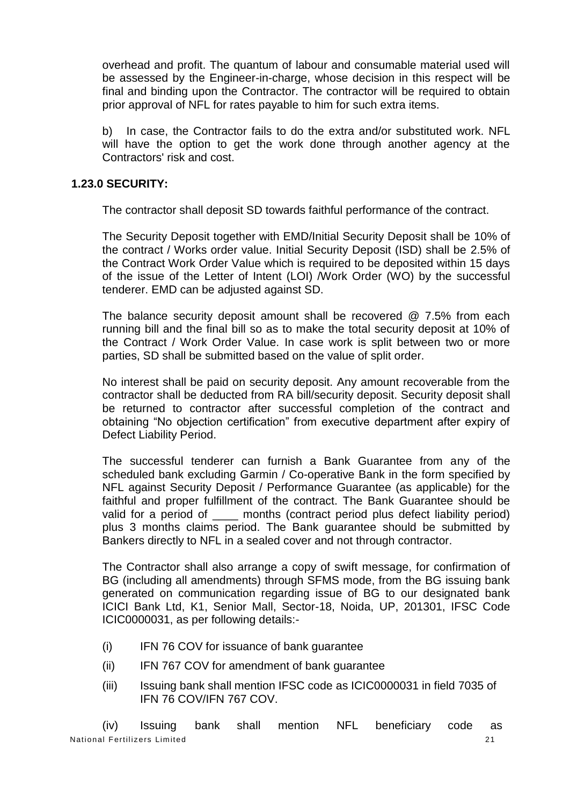overhead and profit. The quantum of labour and consumable material used will be assessed by the Engineer-in-charge, whose decision in this respect will be final and binding upon the Contractor. The contractor will be required to obtain prior approval of NFL for rates payable to him for such extra items.

b) In case, the Contractor fails to do the extra and/or substituted work. NFL will have the option to get the work done through another agency at the Contractors' risk and cost.

## **1.23.0 SECURITY:**

The contractor shall deposit SD towards faithful performance of the contract.

The Security Deposit together with EMD/Initial Security Deposit shall be 10% of the contract / Works order value. Initial Security Deposit (ISD) shall be 2.5% of the Contract Work Order Value which is required to be deposited within 15 days of the issue of the Letter of Intent (LOI) /Work Order (WO) by the successful tenderer. EMD can be adjusted against SD.

The balance security deposit amount shall be recovered @ 7.5% from each running bill and the final bill so as to make the total security deposit at 10% of the Contract / Work Order Value. In case work is split between two or more parties, SD shall be submitted based on the value of split order.

No interest shall be paid on security deposit. Any amount recoverable from the contractor shall be deducted from RA bill/security deposit. Security deposit shall be returned to contractor after successful completion of the contract and obtaining "No objection certification" from executive department after expiry of Defect Liability Period.

The successful tenderer can furnish a Bank Guarantee from any of the scheduled bank excluding Garmin / Co-operative Bank in the form specified by NFL against Security Deposit / Performance Guarantee (as applicable) for the faithful and proper fulfillment of the contract. The Bank Guarantee should be valid for a period of \_\_\_\_ months (contract period plus defect liability period) plus 3 months claims period. The Bank guarantee should be submitted by Bankers directly to NFL in a sealed cover and not through contractor.

The Contractor shall also arrange a copy of swift message, for confirmation of BG (including all amendments) through SFMS mode, from the BG issuing bank generated on communication regarding issue of BG to our designated bank ICICI Bank Ltd, K1, Senior Mall, Sector-18, Noida, UP, 201301, IFSC Code ICIC0000031, as per following details:-

- (i) IFN 76 COV for issuance of bank guarantee
- (ii) IFN 767 COV for amendment of bank guarantee
- (iii) Issuing bank shall mention IFSC code as ICIC0000031 in field 7035 of IFN 76 COV/IFN 767 COV.

National Fertilizers Limited 21 (iv) Issuing bank shall mention NFL beneficiary code as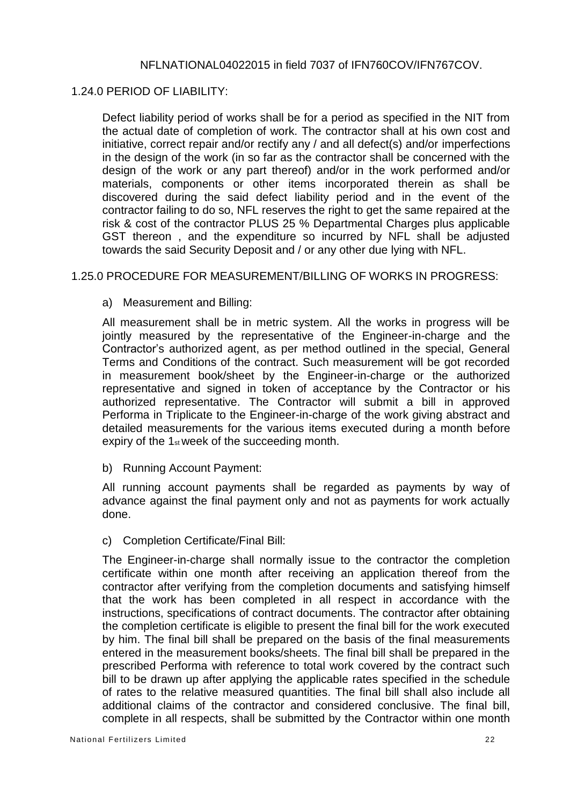## NFLNATIONAL04022015 in field 7037 of IFN760COV/IFN767COV.

#### 1.24.0 PERIOD OF LIABILITY:

Defect liability period of works shall be for a period as specified in the NIT from the actual date of completion of work. The contractor shall at his own cost and initiative, correct repair and/or rectify any / and all defect(s) and/or imperfections in the design of the work (in so far as the contractor shall be concerned with the design of the work or any part thereof) and/or in the work performed and/or materials, components or other items incorporated therein as shall be discovered during the said defect liability period and in the event of the contractor failing to do so, NFL reserves the right to get the same repaired at the risk & cost of the contractor PLUS 25 % Departmental Charges plus applicable GST thereon , and the expenditure so incurred by NFL shall be adjusted towards the said Security Deposit and / or any other due lying with NFL.

#### 1.25.0 PROCEDURE FOR MEASUREMENT/BILLING OF WORKS IN PROGRESS:

#### a) Measurement and Billing:

All measurement shall be in metric system. All the works in progress will be jointly measured by the representative of the Engineer-in-charge and the Contractor's authorized agent, as per method outlined in the special, General Terms and Conditions of the contract. Such measurement will be got recorded in measurement book/sheet by the Engineer-in-charge or the authorized representative and signed in token of acceptance by the Contractor or his authorized representative. The Contractor will submit a bill in approved Performa in Triplicate to the Engineer-in-charge of the work giving abstract and detailed measurements for the various items executed during a month before expiry of the 1<sub>st</sub> week of the succeeding month.

b) Running Account Payment:

All running account payments shall be regarded as payments by way of advance against the final payment only and not as payments for work actually done.

c) Completion Certificate/Final Bill:

The Engineer-in-charge shall normally issue to the contractor the completion certificate within one month after receiving an application thereof from the contractor after verifying from the completion documents and satisfying himself that the work has been completed in all respect in accordance with the instructions, specifications of contract documents. The contractor after obtaining the completion certificate is eligible to present the final bill for the work executed by him. The final bill shall be prepared on the basis of the final measurements entered in the measurement books/sheets. The final bill shall be prepared in the prescribed Performa with reference to total work covered by the contract such bill to be drawn up after applying the applicable rates specified in the schedule of rates to the relative measured quantities. The final bill shall also include all additional claims of the contractor and considered conclusive. The final bill, complete in all respects, shall be submitted by the Contractor within one month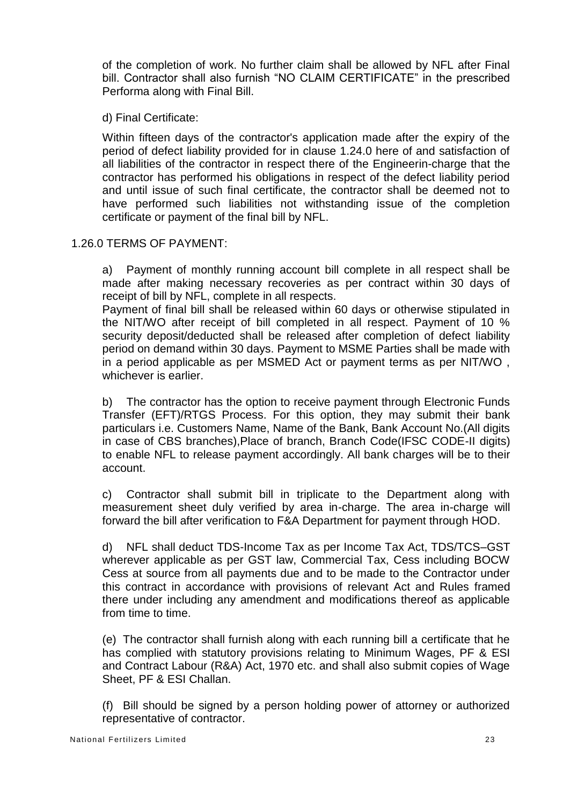of the completion of work. No further claim shall be allowed by NFL after Final bill. Contractor shall also furnish "NO CLAIM CERTIFICATE" in the prescribed Performa along with Final Bill.

d) Final Certificate:

Within fifteen days of the contractor's application made after the expiry of the period of defect liability provided for in clause 1.24.0 here of and satisfaction of all liabilities of the contractor in respect there of the Engineerin-charge that the contractor has performed his obligations in respect of the defect liability period and until issue of such final certificate, the contractor shall be deemed not to have performed such liabilities not withstanding issue of the completion certificate or payment of the final bill by NFL.

1.26.0 TERMS OF PAYMENT:

a) Payment of monthly running account bill complete in all respect shall be made after making necessary recoveries as per contract within 30 days of receipt of bill by NFL, complete in all respects.

Payment of final bill shall be released within 60 days or otherwise stipulated in the NIT/WO after receipt of bill completed in all respect. Payment of 10 % security deposit/deducted shall be released after completion of defect liability period on demand within 30 days. Payment to MSME Parties shall be made with in a period applicable as per MSMED Act or payment terms as per NIT/WO , whichever is earlier.

b) The contractor has the option to receive payment through Electronic Funds Transfer (EFT)/RTGS Process. For this option, they may submit their bank particulars i.e. Customers Name, Name of the Bank, Bank Account No.(All digits in case of CBS branches),Place of branch, Branch Code(IFSC CODE-II digits) to enable NFL to release payment accordingly. All bank charges will be to their account.

c) Contractor shall submit bill in triplicate to the Department along with measurement sheet duly verified by area in-charge. The area in-charge will forward the bill after verification to F&A Department for payment through HOD.

d) NFL shall deduct TDS-Income Tax as per Income Tax Act, TDS/TCS–GST wherever applicable as per GST law, Commercial Tax, Cess including BOCW Cess at source from all payments due and to be made to the Contractor under this contract in accordance with provisions of relevant Act and Rules framed there under including any amendment and modifications thereof as applicable from time to time.

(e) The contractor shall furnish along with each running bill a certificate that he has complied with statutory provisions relating to Minimum Wages, PF & ESI and Contract Labour (R&A) Act, 1970 etc. and shall also submit copies of Wage Sheet, PF & ESI Challan.

(f) Bill should be signed by a person holding power of attorney or authorized representative of contractor.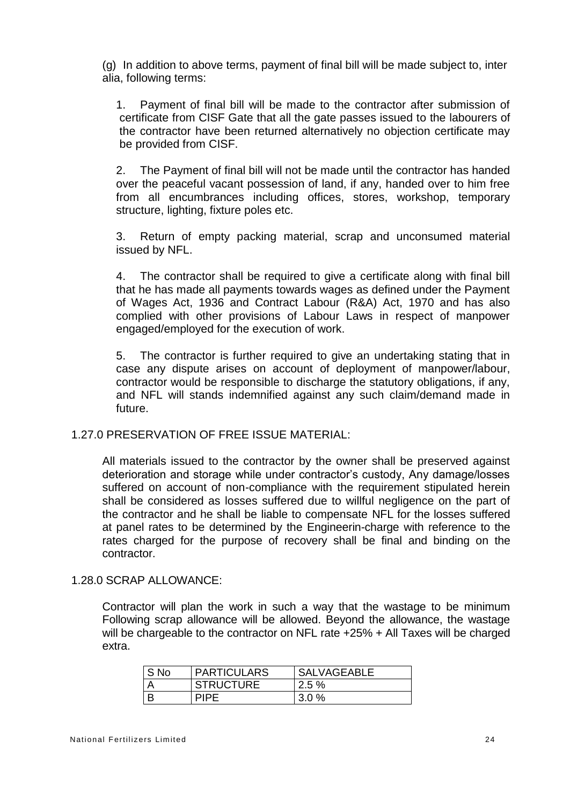(g) In addition to above terms, payment of final bill will be made subject to, inter alia, following terms:

1. Payment of final bill will be made to the contractor after submission of certificate from CISF Gate that all the gate passes issued to the labourers of the contractor have been returned alternatively no objection certificate may be provided from CISF.

2. The Payment of final bill will not be made until the contractor has handed over the peaceful vacant possession of land, if any, handed over to him free from all encumbrances including offices, stores, workshop, temporary structure, lighting, fixture poles etc.

3. Return of empty packing material, scrap and unconsumed material issued by NFL.

4. The contractor shall be required to give a certificate along with final bill that he has made all payments towards wages as defined under the Payment of Wages Act, 1936 and Contract Labour (R&A) Act, 1970 and has also complied with other provisions of Labour Laws in respect of manpower engaged/employed for the execution of work.

5. The contractor is further required to give an undertaking stating that in case any dispute arises on account of deployment of manpower/labour, contractor would be responsible to discharge the statutory obligations, if any, and NFL will stands indemnified against any such claim/demand made in future.

## 1.27.0 PRESERVATION OF FREE ISSUE MATERIAL:

All materials issued to the contractor by the owner shall be preserved against deterioration and storage while under contractor's custody, Any damage/losses suffered on account of non-compliance with the requirement stipulated herein shall be considered as losses suffered due to willful negligence on the part of the contractor and he shall be liable to compensate NFL for the losses suffered at panel rates to be determined by the Engineerin-charge with reference to the rates charged for the purpose of recovery shall be final and binding on the contractor.

#### 1.28.0 SCRAP ALLOWANCE:

Contractor will plan the work in such a way that the wastage to be minimum Following scrap allowance will be allowed. Beyond the allowance, the wastage will be chargeable to the contractor on NFL rate +25% + All Taxes will be charged extra.

| ' S No | <b>PARTICULARS</b> | <b>SALVAGEABLE</b> |
|--------|--------------------|--------------------|
|        | <b>STRUCTURE</b>   | $2.5\%$            |
|        | <b>PIPF</b>        | 3.0%               |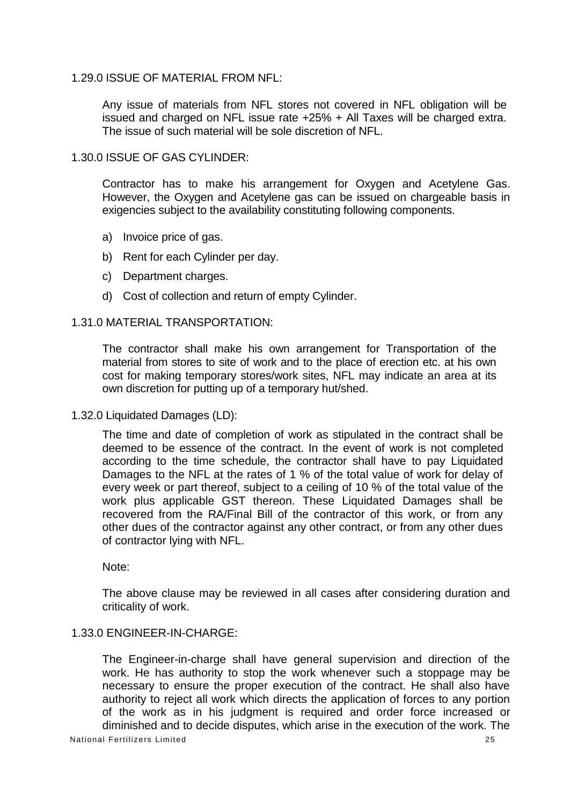#### 1.29.0 ISSUE OF MATERIAL FROM NFL:

Any issue of materials from NFL stores not covered in NFL obligation will be issued and charged on NFL issue rate +25% + All Taxes will be charged extra. The issue of such material will be sole discretion of NFL.

## 1.30.0 ISSUE OF GAS CYLINDER:

Contractor has to make his arrangement for Oxygen and Acetylene Gas. However, the Oxygen and Acetylene gas can be issued on chargeable basis in exigencies subject to the availability constituting following components.

- a) Invoice price of gas.
- b) Rent for each Cylinder per day.
- c) Department charges.
- d) Cost of collection and return of empty Cylinder.

#### 1.31.0 MATERIAL TRANSPORTATION:

The contractor shall make his own arrangement for Transportation of the material from stores to site of work and to the place of erection etc. at his own cost for making temporary stores/work sites, NFL may indicate an area at its own discretion for putting up of a temporary hut/shed.

1.32.0 Liquidated Damages (LD):

The time and date of completion of work as stipulated in the contract shall be deemed to be essence of the contract. In the event of work is not completed according to the time schedule, the contractor shall have to pay Liquidated Damages to the NFL at the rates of 1 % of the total value of work for delay of every week or part thereof, subject to a ceiling of 10 % of the total value of the work plus applicable GST thereon. These Liquidated Damages shall be recovered from the RA/Final Bill of the contractor of this work, or from any other dues of the contractor against any other contract, or from any other dues of contractor lying with NFL.

Note:

The above clause may be reviewed in all cases after considering duration and criticality of work.

#### 1.33.0 ENGINEER-IN-CHARGE:

National Fertilizers Limited 25 The Engineer-in-charge shall have general supervision and direction of the work. He has authority to stop the work whenever such a stoppage may be necessary to ensure the proper execution of the contract. He shall also have authority to reject all work which directs the application of forces to any portion of the work as in his judgment is required and order force increased or diminished and to decide disputes, which arise in the execution of the work. The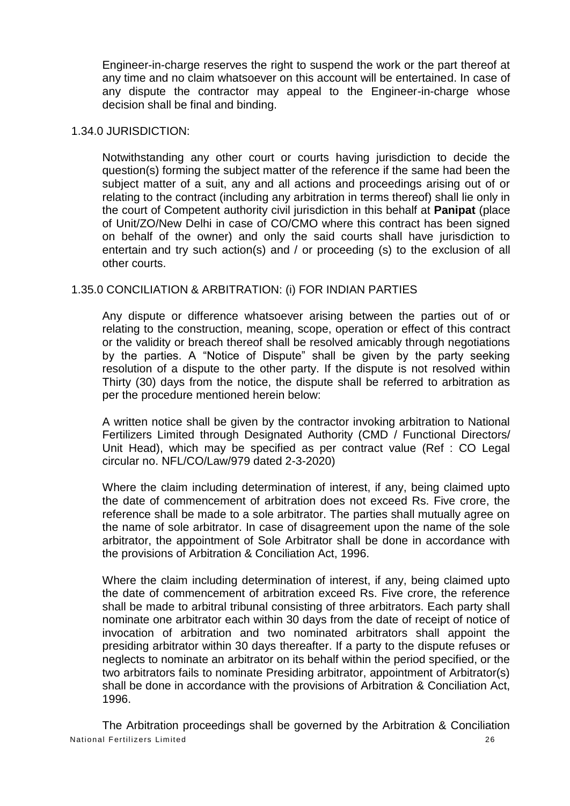Engineer-in-charge reserves the right to suspend the work or the part thereof at any time and no claim whatsoever on this account will be entertained. In case of any dispute the contractor may appeal to the Engineer-in-charge whose decision shall be final and binding.

#### 1.34.0 JURISDICTION:

Notwithstanding any other court or courts having jurisdiction to decide the question(s) forming the subject matter of the reference if the same had been the subject matter of a suit, any and all actions and proceedings arising out of or relating to the contract (including any arbitration in terms thereof) shall lie only in the court of Competent authority civil jurisdiction in this behalf at **Panipat** (place of Unit/ZO/New Delhi in case of CO/CMO where this contract has been signed on behalf of the owner) and only the said courts shall have jurisdiction to entertain and try such action(s) and / or proceeding (s) to the exclusion of all other courts.

## 1.35.0 CONCILIATION & ARBITRATION: (i) FOR INDIAN PARTIES

Any dispute or difference whatsoever arising between the parties out of or relating to the construction, meaning, scope, operation or effect of this contract or the validity or breach thereof shall be resolved amicably through negotiations by the parties. A "Notice of Dispute" shall be given by the party seeking resolution of a dispute to the other party. If the dispute is not resolved within Thirty (30) days from the notice, the dispute shall be referred to arbitration as per the procedure mentioned herein below:

A written notice shall be given by the contractor invoking arbitration to National Fertilizers Limited through Designated Authority (CMD / Functional Directors/ Unit Head), which may be specified as per contract value (Ref : CO Legal circular no. NFL/CO/Law/979 dated 2-3-2020)

Where the claim including determination of interest, if any, being claimed upto the date of commencement of arbitration does not exceed Rs. Five crore, the reference shall be made to a sole arbitrator. The parties shall mutually agree on the name of sole arbitrator. In case of disagreement upon the name of the sole arbitrator, the appointment of Sole Arbitrator shall be done in accordance with the provisions of Arbitration & Conciliation Act, 1996.

Where the claim including determination of interest, if any, being claimed upto the date of commencement of arbitration exceed Rs. Five crore, the reference shall be made to arbitral tribunal consisting of three arbitrators. Each party shall nominate one arbitrator each within 30 days from the date of receipt of notice of invocation of arbitration and two nominated arbitrators shall appoint the presiding arbitrator within 30 days thereafter. If a party to the dispute refuses or neglects to nominate an arbitrator on its behalf within the period specified, or the two arbitrators fails to nominate Presiding arbitrator, appointment of Arbitrator(s) shall be done in accordance with the provisions of Arbitration & Conciliation Act, 1996.

National Fertilizers Limited 26 The Arbitration proceedings shall be governed by the Arbitration & Conciliation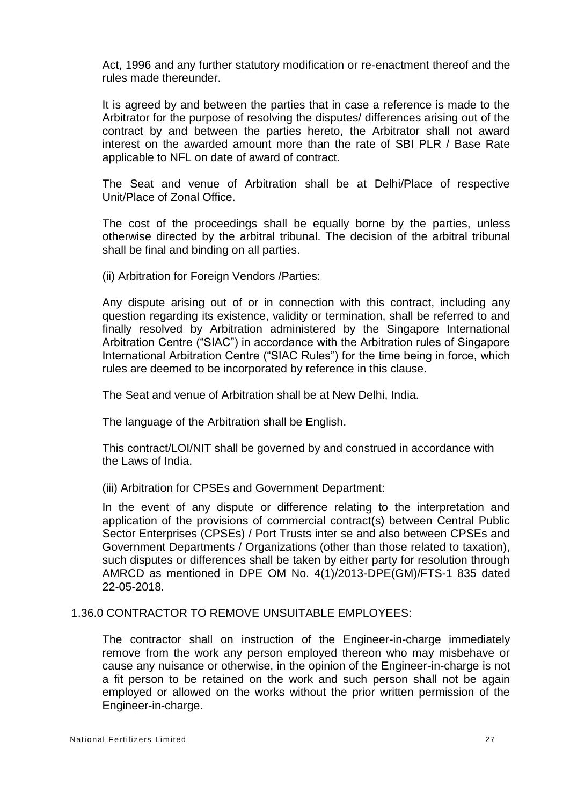Act, 1996 and any further statutory modification or re-enactment thereof and the rules made thereunder.

It is agreed by and between the parties that in case a reference is made to the Arbitrator for the purpose of resolving the disputes/ differences arising out of the contract by and between the parties hereto, the Arbitrator shall not award interest on the awarded amount more than the rate of SBI PLR / Base Rate applicable to NFL on date of award of contract.

The Seat and venue of Arbitration shall be at Delhi/Place of respective Unit/Place of Zonal Office.

The cost of the proceedings shall be equally borne by the parties, unless otherwise directed by the arbitral tribunal. The decision of the arbitral tribunal shall be final and binding on all parties.

(ii) Arbitration for Foreign Vendors /Parties:

Any dispute arising out of or in connection with this contract, including any question regarding its existence, validity or termination, shall be referred to and finally resolved by Arbitration administered by the Singapore International Arbitration Centre ("SIAC") in accordance with the Arbitration rules of Singapore International Arbitration Centre ("SIAC Rules") for the time being in force, which rules are deemed to be incorporated by reference in this clause.

The Seat and venue of Arbitration shall be at New Delhi, India.

The language of the Arbitration shall be English.

This contract/LOI/NIT shall be governed by and construed in accordance with the Laws of India.

(iii) Arbitration for CPSEs and Government Department:

In the event of any dispute or difference relating to the interpretation and application of the provisions of commercial contract(s) between Central Public Sector Enterprises (CPSEs) / Port Trusts inter se and also between CPSEs and Government Departments / Organizations (other than those related to taxation), such disputes or differences shall be taken by either party for resolution through AMRCD as mentioned in DPE OM No. 4(1)/2013-DPE(GM)/FTS-1 835 dated 22-05-2018.

1.36.0 CONTRACTOR TO REMOVE UNSUITABLE EMPLOYEES:

The contractor shall on instruction of the Engineer-in-charge immediately remove from the work any person employed thereon who may misbehave or cause any nuisance or otherwise, in the opinion of the Engineer-in-charge is not a fit person to be retained on the work and such person shall not be again employed or allowed on the works without the prior written permission of the Engineer-in-charge.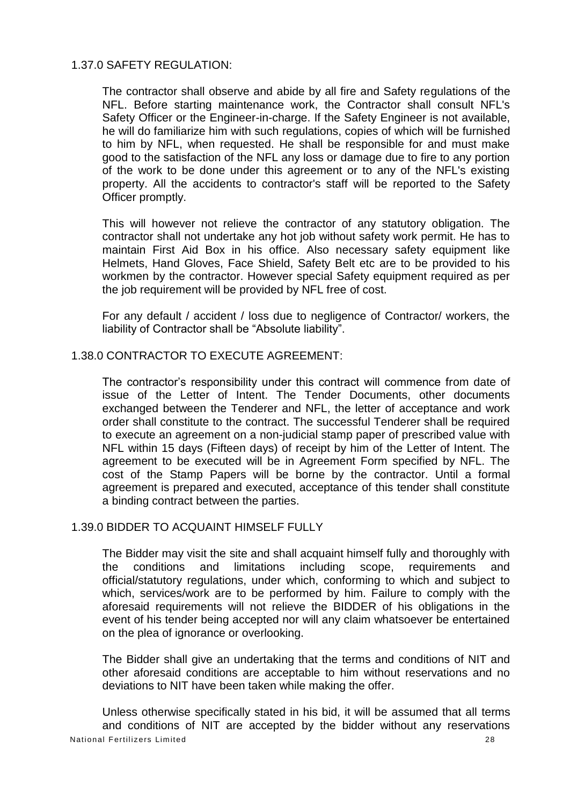#### 1.37.0 SAFETY REGULATION:

The contractor shall observe and abide by all fire and Safety regulations of the NFL. Before starting maintenance work, the Contractor shall consult NFL's Safety Officer or the Engineer-in-charge. If the Safety Engineer is not available, he will do familiarize him with such regulations, copies of which will be furnished to him by NFL, when requested. He shall be responsible for and must make good to the satisfaction of the NFL any loss or damage due to fire to any portion of the work to be done under this agreement or to any of the NFL's existing property. All the accidents to contractor's staff will be reported to the Safety Officer promptly.

This will however not relieve the contractor of any statutory obligation. The contractor shall not undertake any hot job without safety work permit. He has to maintain First Aid Box in his office. Also necessary safety equipment like Helmets, Hand Gloves, Face Shield, Safety Belt etc are to be provided to his workmen by the contractor. However special Safety equipment required as per the job requirement will be provided by NFL free of cost.

For any default / accident / loss due to negligence of Contractor/ workers, the liability of Contractor shall be "Absolute liability".

#### 1.38.0 CONTRACTOR TO EXECUTE AGREEMENT:

The contractor's responsibility under this contract will commence from date of issue of the Letter of Intent. The Tender Documents, other documents exchanged between the Tenderer and NFL, the letter of acceptance and work order shall constitute to the contract. The successful Tenderer shall be required to execute an agreement on a non-judicial stamp paper of prescribed value with NFL within 15 days (Fifteen days) of receipt by him of the Letter of Intent. The agreement to be executed will be in Agreement Form specified by NFL. The cost of the Stamp Papers will be borne by the contractor. Until a formal agreement is prepared and executed, acceptance of this tender shall constitute a binding contract between the parties.

#### 1.39.0 BIDDER TO ACQUAINT HIMSELF FULLY

The Bidder may visit the site and shall acquaint himself fully and thoroughly with the conditions and limitations including scope, requirements and official/statutory regulations, under which, conforming to which and subject to which, services/work are to be performed by him. Failure to comply with the aforesaid requirements will not relieve the BIDDER of his obligations in the event of his tender being accepted nor will any claim whatsoever be entertained on the plea of ignorance or overlooking.

The Bidder shall give an undertaking that the terms and conditions of NIT and other aforesaid conditions are acceptable to him without reservations and no deviations to NIT have been taken while making the offer.

National Fertilizers Limited 28 Unless otherwise specifically stated in his bid, it will be assumed that all terms and conditions of NIT are accepted by the bidder without any reservations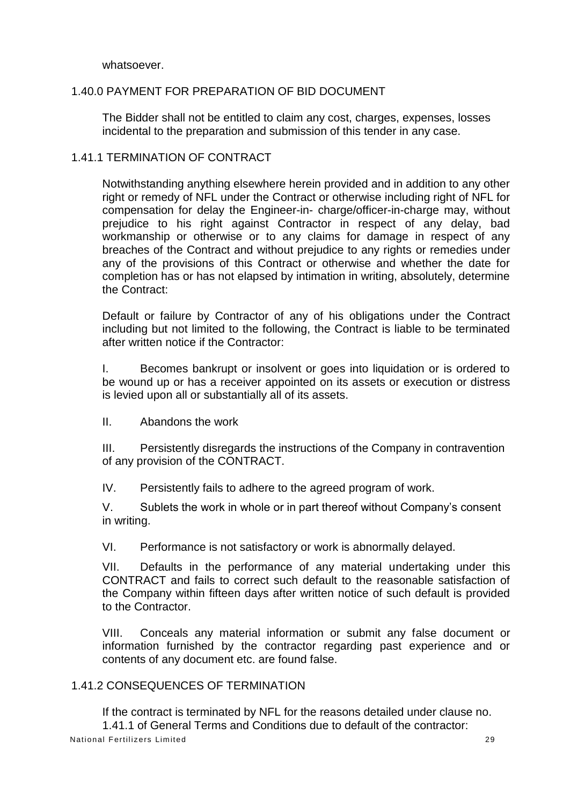whatsoever.

## 1.40.0 PAYMENT FOR PREPARATION OF BID DOCUMENT

The Bidder shall not be entitled to claim any cost, charges, expenses, losses incidental to the preparation and submission of this tender in any case.

## 1.41.1 TERMINATION OF CONTRACT

Notwithstanding anything elsewhere herein provided and in addition to any other right or remedy of NFL under the Contract or otherwise including right of NFL for compensation for delay the Engineer-in- charge/officer-in-charge may, without prejudice to his right against Contractor in respect of any delay, bad workmanship or otherwise or to any claims for damage in respect of any breaches of the Contract and without prejudice to any rights or remedies under any of the provisions of this Contract or otherwise and whether the date for completion has or has not elapsed by intimation in writing, absolutely, determine the Contract:

Default or failure by Contractor of any of his obligations under the Contract including but not limited to the following, the Contract is liable to be terminated after written notice if the Contractor:

I. Becomes bankrupt or insolvent or goes into liquidation or is ordered to be wound up or has a receiver appointed on its assets or execution or distress is levied upon all or substantially all of its assets.

II. Abandons the work

III. Persistently disregards the instructions of the Company in contravention of any provision of the CONTRACT.

IV. Persistently fails to adhere to the agreed program of work.

V. Sublets the work in whole or in part thereof without Company's consent in writing.

VI. Performance is not satisfactory or work is abnormally delayed.

VII. Defaults in the performance of any material undertaking under this CONTRACT and fails to correct such default to the reasonable satisfaction of the Company within fifteen days after written notice of such default is provided to the Contractor.

VIII. Conceals any material information or submit any false document or information furnished by the contractor regarding past experience and or contents of any document etc. are found false.

## 1.41.2 CONSEQUENCES OF TERMINATION

National Fertilizers Limited 29 If the contract is terminated by NFL for the reasons detailed under clause no. 1.41.1 of General Terms and Conditions due to default of the contractor: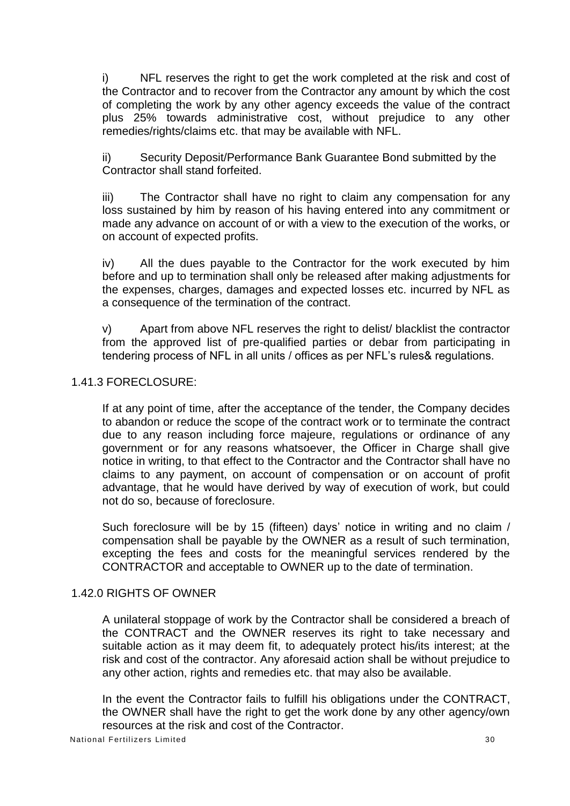i) NFL reserves the right to get the work completed at the risk and cost of the Contractor and to recover from the Contractor any amount by which the cost of completing the work by any other agency exceeds the value of the contract plus 25% towards administrative cost, without prejudice to any other remedies/rights/claims etc. that may be available with NFL.

ii) Security Deposit/Performance Bank Guarantee Bond submitted by the Contractor shall stand forfeited.

iii) The Contractor shall have no right to claim any compensation for any loss sustained by him by reason of his having entered into any commitment or made any advance on account of or with a view to the execution of the works, or on account of expected profits.

iv) All the dues payable to the Contractor for the work executed by him before and up to termination shall only be released after making adjustments for the expenses, charges, damages and expected losses etc. incurred by NFL as a consequence of the termination of the contract.

v) Apart from above NFL reserves the right to delist/ blacklist the contractor from the approved list of pre-qualified parties or debar from participating in tendering process of NFL in all units / offices as per NFL's rules& regulations.

#### 1.41.3 FORECLOSURE:

If at any point of time, after the acceptance of the tender, the Company decides to abandon or reduce the scope of the contract work or to terminate the contract due to any reason including force majeure, regulations or ordinance of any government or for any reasons whatsoever, the Officer in Charge shall give notice in writing, to that effect to the Contractor and the Contractor shall have no claims to any payment, on account of compensation or on account of profit advantage, that he would have derived by way of execution of work, but could not do so, because of foreclosure.

Such foreclosure will be by 15 (fifteen) days' notice in writing and no claim / compensation shall be payable by the OWNER as a result of such termination, excepting the fees and costs for the meaningful services rendered by the CONTRACTOR and acceptable to OWNER up to the date of termination.

## 1.42.0 RIGHTS OF OWNER

A unilateral stoppage of work by the Contractor shall be considered a breach of the CONTRACT and the OWNER reserves its right to take necessary and suitable action as it may deem fit, to adequately protect his/its interest; at the risk and cost of the contractor. Any aforesaid action shall be without prejudice to any other action, rights and remedies etc. that may also be available.

In the event the Contractor fails to fulfill his obligations under the CONTRACT, the OWNER shall have the right to get the work done by any other agency/own resources at the risk and cost of the Contractor.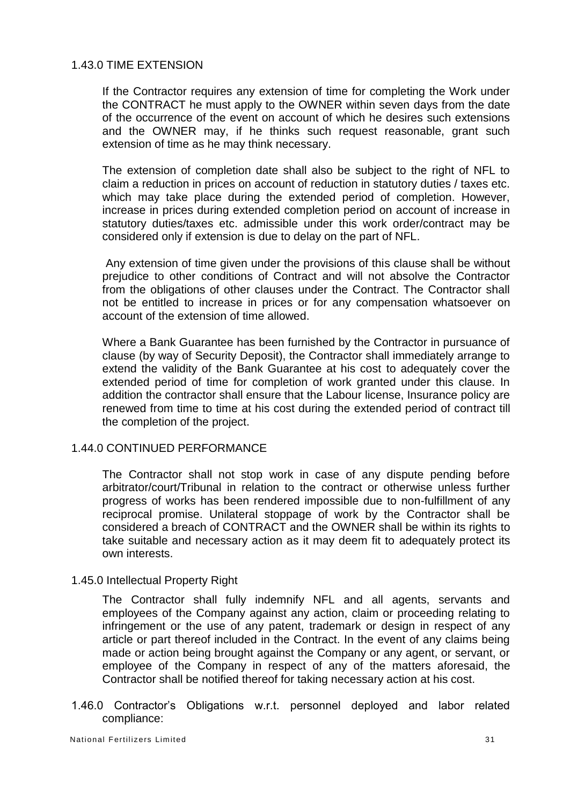## 1.43.0 TIME EXTENSION

If the Contractor requires any extension of time for completing the Work under the CONTRACT he must apply to the OWNER within seven days from the date of the occurrence of the event on account of which he desires such extensions and the OWNER may, if he thinks such request reasonable, grant such extension of time as he may think necessary.

The extension of completion date shall also be subject to the right of NFL to claim a reduction in prices on account of reduction in statutory duties / taxes etc. which may take place during the extended period of completion. However, increase in prices during extended completion period on account of increase in statutory duties/taxes etc. admissible under this work order/contract may be considered only if extension is due to delay on the part of NFL.

Any extension of time given under the provisions of this clause shall be without prejudice to other conditions of Contract and will not absolve the Contractor from the obligations of other clauses under the Contract. The Contractor shall not be entitled to increase in prices or for any compensation whatsoever on account of the extension of time allowed.

Where a Bank Guarantee has been furnished by the Contractor in pursuance of clause (by way of Security Deposit), the Contractor shall immediately arrange to extend the validity of the Bank Guarantee at his cost to adequately cover the extended period of time for completion of work granted under this clause. In addition the contractor shall ensure that the Labour license, Insurance policy are renewed from time to time at his cost during the extended period of contract till the completion of the project.

## 1.44.0 CONTINUED PERFORMANCE

The Contractor shall not stop work in case of any dispute pending before arbitrator/court/Tribunal in relation to the contract or otherwise unless further progress of works has been rendered impossible due to non-fulfillment of any reciprocal promise. Unilateral stoppage of work by the Contractor shall be considered a breach of CONTRACT and the OWNER shall be within its rights to take suitable and necessary action as it may deem fit to adequately protect its own interests.

#### 1.45.0 Intellectual Property Right

The Contractor shall fully indemnify NFL and all agents, servants and employees of the Company against any action, claim or proceeding relating to infringement or the use of any patent, trademark or design in respect of any article or part thereof included in the Contract. In the event of any claims being made or action being brought against the Company or any agent, or servant, or employee of the Company in respect of any of the matters aforesaid, the Contractor shall be notified thereof for taking necessary action at his cost.

1.46.0 Contractor's Obligations w.r.t. personnel deployed and labor related compliance: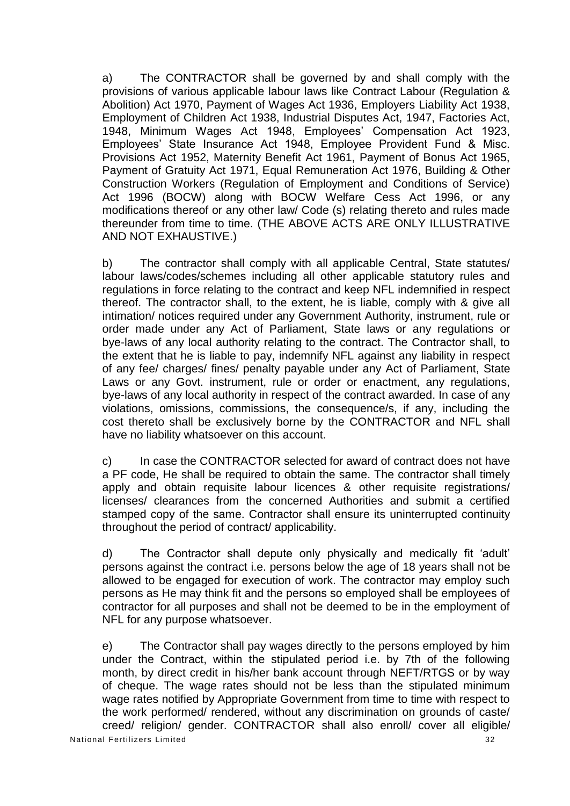a) The CONTRACTOR shall be governed by and shall comply with the provisions of various applicable labour laws like Contract Labour (Regulation & Abolition) Act 1970, Payment of Wages Act 1936, Employers Liability Act 1938, Employment of Children Act 1938, Industrial Disputes Act, 1947, Factories Act, 1948, Minimum Wages Act 1948, Employees' Compensation Act 1923, Employees' State Insurance Act 1948, Employee Provident Fund & Misc. Provisions Act 1952, Maternity Benefit Act 1961, Payment of Bonus Act 1965, Payment of Gratuity Act 1971, Equal Remuneration Act 1976, Building & Other Construction Workers (Regulation of Employment and Conditions of Service) Act 1996 (BOCW) along with BOCW Welfare Cess Act 1996, or any modifications thereof or any other law/ Code (s) relating thereto and rules made thereunder from time to time. (THE ABOVE ACTS ARE ONLY ILLUSTRATIVE AND NOT EXHAUSTIVE.)

b) The contractor shall comply with all applicable Central, State statutes/ labour laws/codes/schemes including all other applicable statutory rules and regulations in force relating to the contract and keep NFL indemnified in respect thereof. The contractor shall, to the extent, he is liable, comply with & give all intimation/ notices required under any Government Authority, instrument, rule or order made under any Act of Parliament, State laws or any regulations or bye-laws of any local authority relating to the contract. The Contractor shall, to the extent that he is liable to pay, indemnify NFL against any liability in respect of any fee/ charges/ fines/ penalty payable under any Act of Parliament, State Laws or any Govt. instrument, rule or order or enactment, any regulations, bye-laws of any local authority in respect of the contract awarded. In case of any violations, omissions, commissions, the consequence/s, if any, including the cost thereto shall be exclusively borne by the CONTRACTOR and NFL shall have no liability whatsoever on this account.

c) In case the CONTRACTOR selected for award of contract does not have a PF code, He shall be required to obtain the same. The contractor shall timely apply and obtain requisite labour licences & other requisite registrations/ licenses/ clearances from the concerned Authorities and submit a certified stamped copy of the same. Contractor shall ensure its uninterrupted continuity throughout the period of contract/ applicability.

d) The Contractor shall depute only physically and medically fit 'adult' persons against the contract i.e. persons below the age of 18 years shall not be allowed to be engaged for execution of work. The contractor may employ such persons as He may think fit and the persons so employed shall be employees of contractor for all purposes and shall not be deemed to be in the employment of NFL for any purpose whatsoever.

National Fertilizers Limited 32 e) The Contractor shall pay wages directly to the persons employed by him under the Contract, within the stipulated period i.e. by 7th of the following month, by direct credit in his/her bank account through NEFT/RTGS or by way of cheque. The wage rates should not be less than the stipulated minimum wage rates notified by Appropriate Government from time to time with respect to the work performed/ rendered, without any discrimination on grounds of caste/ creed/ religion/ gender. CONTRACTOR shall also enroll/ cover all eligible/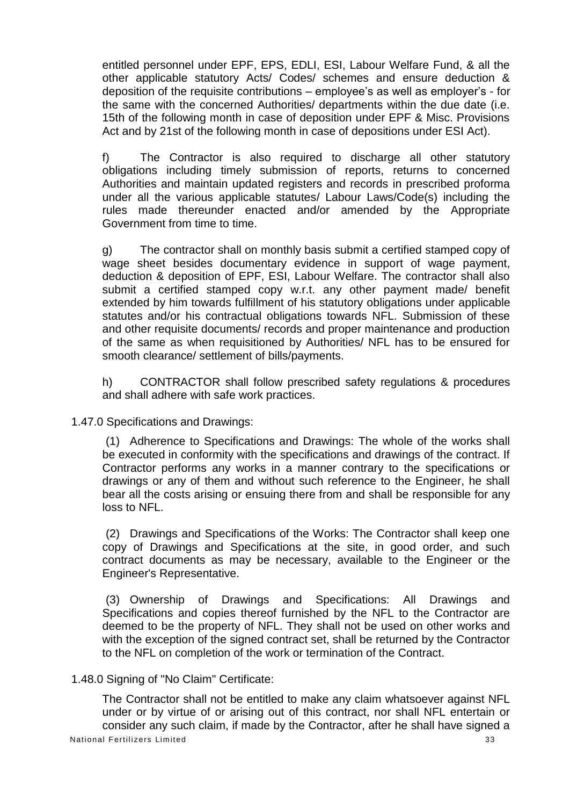entitled personnel under EPF, EPS, EDLI, ESI, Labour Welfare Fund, & all the other applicable statutory Acts/ Codes/ schemes and ensure deduction & deposition of the requisite contributions – employee's as well as employer's - for the same with the concerned Authorities/ departments within the due date (i.e. 15th of the following month in case of deposition under EPF & Misc. Provisions Act and by 21st of the following month in case of depositions under ESI Act).

f) The Contractor is also required to discharge all other statutory obligations including timely submission of reports, returns to concerned Authorities and maintain updated registers and records in prescribed proforma under all the various applicable statutes/ Labour Laws/Code(s) including the rules made thereunder enacted and/or amended by the Appropriate Government from time to time.

g) The contractor shall on monthly basis submit a certified stamped copy of wage sheet besides documentary evidence in support of wage payment, deduction & deposition of EPF, ESI, Labour Welfare. The contractor shall also submit a certified stamped copy w.r.t. any other payment made/ benefit extended by him towards fulfillment of his statutory obligations under applicable statutes and/or his contractual obligations towards NFL. Submission of these and other requisite documents/ records and proper maintenance and production of the same as when requisitioned by Authorities/ NFL has to be ensured for smooth clearance/ settlement of bills/payments.

h) CONTRACTOR shall follow prescribed safety regulations & procedures and shall adhere with safe work practices.

1.47.0 Specifications and Drawings:

(1) Adherence to Specifications and Drawings: The whole of the works shall be executed in conformity with the specifications and drawings of the contract. If Contractor performs any works in a manner contrary to the specifications or drawings or any of them and without such reference to the Engineer, he shall bear all the costs arising or ensuing there from and shall be responsible for any loss to NFL.

(2) Drawings and Specifications of the Works: The Contractor shall keep one copy of Drawings and Specifications at the site, in good order, and such contract documents as may be necessary, available to the Engineer or the Engineer's Representative.

(3) Ownership of Drawings and Specifications: All Drawings and Specifications and copies thereof furnished by the NFL to the Contractor are deemed to be the property of NFL. They shall not be used on other works and with the exception of the signed contract set, shall be returned by the Contractor to the NFL on completion of the work or termination of the Contract.

## 1.48.0 Signing of "No Claim" Certificate:

National Fertilizers Limited 33 The Contractor shall not be entitled to make any claim whatsoever against NFL under or by virtue of or arising out of this contract, nor shall NFL entertain or consider any such claim, if made by the Contractor, after he shall have signed a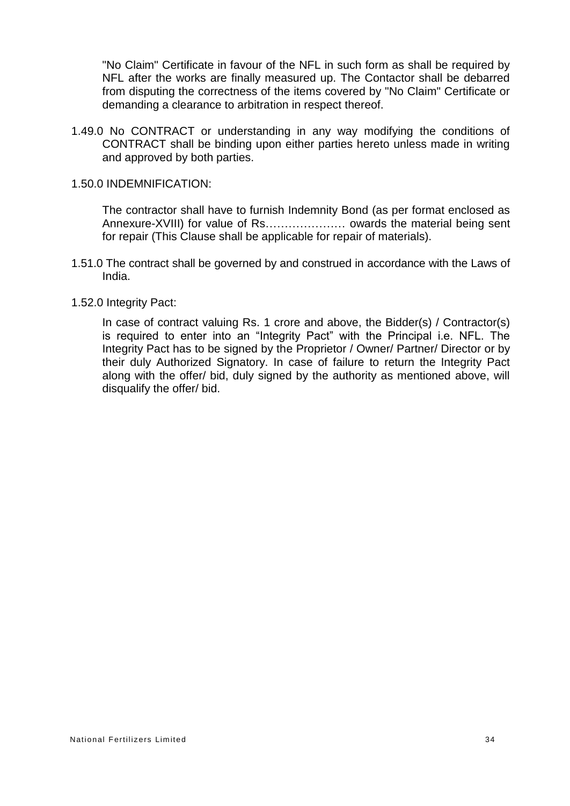"No Claim" Certificate in favour of the NFL in such form as shall be required by NFL after the works are finally measured up. The Contactor shall be debarred from disputing the correctness of the items covered by "No Claim" Certificate or demanding a clearance to arbitration in respect thereof.

1.49.0 No CONTRACT or understanding in any way modifying the conditions of CONTRACT shall be binding upon either parties hereto unless made in writing and approved by both parties.

#### 1.50.0 INDEMNIFICATION:

The contractor shall have to furnish Indemnity Bond (as per format enclosed as Annexure-XVIII) for value of Rs………………… owards the material being sent for repair (This Clause shall be applicable for repair of materials).

1.51.0 The contract shall be governed by and construed in accordance with the Laws of India.

#### 1.52.0 Integrity Pact:

In case of contract valuing Rs. 1 crore and above, the Bidder(s) / Contractor(s) is required to enter into an "Integrity Pact" with the Principal i.e. NFL. The Integrity Pact has to be signed by the Proprietor / Owner/ Partner/ Director or by their duly Authorized Signatory. In case of failure to return the Integrity Pact along with the offer/ bid, duly signed by the authority as mentioned above, will disqualify the offer/ bid.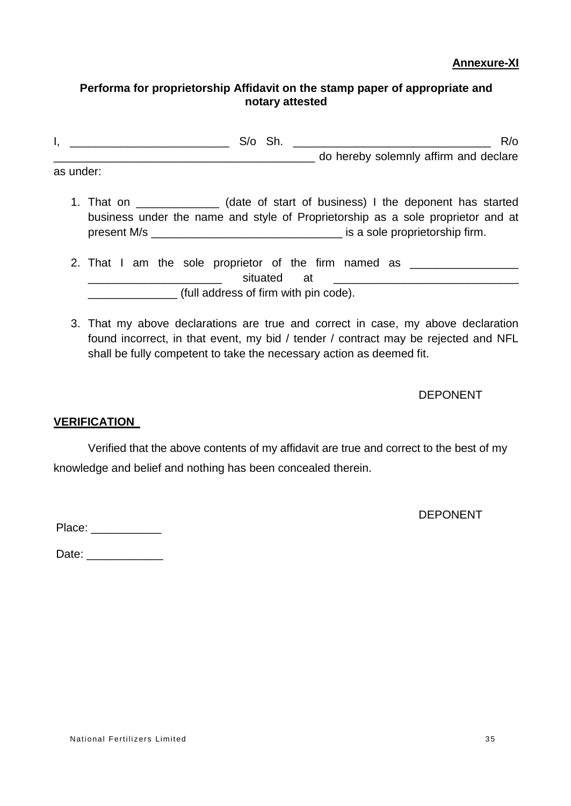## **Annexure-XI**

## **Performa for proprietorship Affidavit on the stamp paper of appropriate and notary attested**

|           | S/o Sh. | $R$ <sub>o</sub>                                                                                                                                                                                                                |  |
|-----------|---------|---------------------------------------------------------------------------------------------------------------------------------------------------------------------------------------------------------------------------------|--|
|           |         | do hereby solemnly affirm and declare                                                                                                                                                                                           |  |
| as under: |         |                                                                                                                                                                                                                                 |  |
|           |         | $\ell$ . In the contribution of the contribution of the contribution of the contribution of the contribution of the contribution of the contribution of the contribution of the contribution of the contribution of the contrib |  |

- 1. That on \_\_\_\_\_\_\_\_\_\_\_\_\_ (date of start of business) I the deponent has started business under the name and style of Proprietorship as a sole proprietor and at present M/s **present M/s is a sole proprietorship firm.**
- 2. That I am the sole proprietor of the firm named as \_\_\_\_\_\_\_\_\_\_\_\_\_\_\_\_\_\_\_\_\_\_\_\_\_\_ extruated at \_\_\_\_\_\_\_\_\_\_\_\_\_\_ (full address of firm with pin code).
- 3. That my above declarations are true and correct in case, my above declaration found incorrect, in that event, my bid / tender / contract may be rejected and NFL shall be fully competent to take the necessary action as deemed fit.

DEPONENT

# **VERIFICATION**

Verified that the above contents of my affidavit are true and correct to the best of my knowledge and belief and nothing has been concealed therein.

DEPONENT

Place:  $\blacksquare$ 

Date: \_\_\_\_\_\_\_\_\_\_\_\_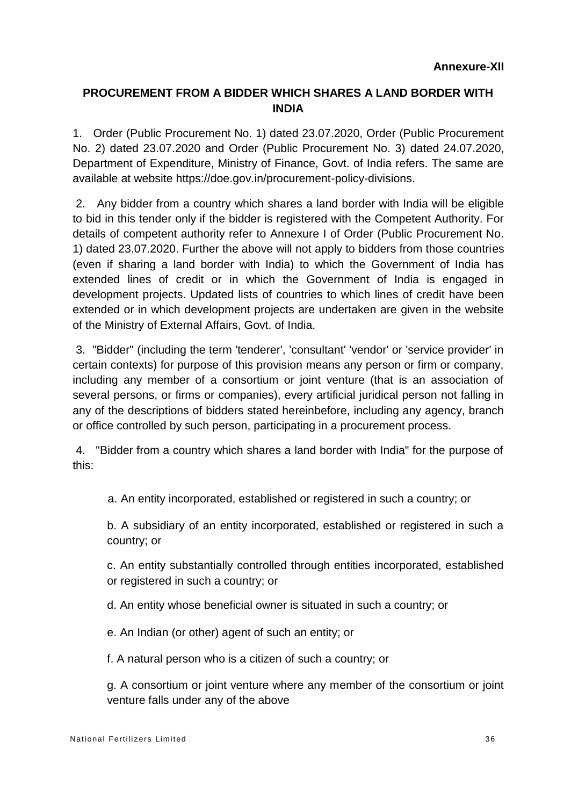# **PROCUREMENT FROM A BIDDER WHICH SHARES A LAND BORDER WITH INDIA**

1. Order (Public Procurement No. 1) dated 23.07.2020, Order (Public Procurement No. 2) dated 23.07.2020 and Order (Public Procurement No. 3) dated 24.07.2020, Department of Expenditure, Ministry of Finance, Govt. of India refers. The same are available at website https://doe.gov.in/procurement-policy-divisions.

2. Any bidder from a country which shares a land border with India will be eligible to bid in this tender only if the bidder is registered with the Competent Authority. For details of competent authority refer to Annexure I of Order (Public Procurement No. 1) dated 23.07.2020. Further the above will not apply to bidders from those countries (even if sharing a land border with India) to which the Government of India has extended lines of credit or in which the Government of India is engaged in development projects. Updated lists of countries to which lines of credit have been extended or in which development projects are undertaken are given in the website of the Ministry of External Affairs, Govt. of India.

3. "Bidder" (including the term 'tenderer', 'consultant' 'vendor' or 'service provider' in certain contexts) for purpose of this provision means any person or firm or company, including any member of a consortium or joint venture (that is an association of several persons, or firms or companies), every artificial juridical person not falling in any of the descriptions of bidders stated hereinbefore, including any agency, branch or office controlled by such person, participating in a procurement process.

4. "Bidder from a country which shares a land border with India" for the purpose of this:

a. An entity incorporated, established or registered in such a country; or

b. A subsidiary of an entity incorporated, established or registered in such a country; or

c. An entity substantially controlled through entities incorporated, established or registered in such a country; or

d. An entity whose beneficial owner is situated in such a country; or

e. An Indian (or other) agent of such an entity; or

f. A natural person who is a citizen of such a country; or

g. A consortium or joint venture where any member of the consortium or joint venture falls under any of the above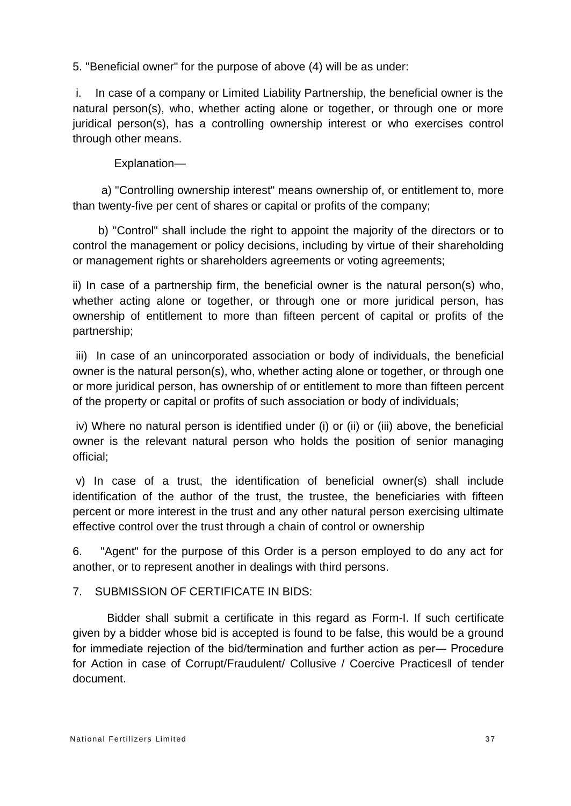5. "Beneficial owner" for the purpose of above (4) will be as under:

i. In case of a company or Limited Liability Partnership, the beneficial owner is the natural person(s), who, whether acting alone or together, or through one or more juridical person(s), has a controlling ownership interest or who exercises control through other means.

Explanation—

a) "Controlling ownership interest" means ownership of, or entitlement to, more than twenty-five per cent of shares or capital or profits of the company;

b) "Control" shall include the right to appoint the majority of the directors or to control the management or policy decisions, including by virtue of their shareholding or management rights or shareholders agreements or voting agreements;

ii) In case of a partnership firm, the beneficial owner is the natural person(s) who, whether acting alone or together, or through one or more juridical person, has ownership of entitlement to more than fifteen percent of capital or profits of the partnership;

iii) In case of an unincorporated association or body of individuals, the beneficial owner is the natural person(s), who, whether acting alone or together, or through one or more juridical person, has ownership of or entitlement to more than fifteen percent of the property or capital or profits of such association or body of individuals;

iv) Where no natural person is identified under (i) or (ii) or (iii) above, the beneficial owner is the relevant natural person who holds the position of senior managing official;

v) In case of a trust, the identification of beneficial owner(s) shall include identification of the author of the trust, the trustee, the beneficiaries with fifteen percent or more interest in the trust and any other natural person exercising ultimate effective control over the trust through a chain of control or ownership

6. "Agent" for the purpose of this Order is a person employed to do any act for another, or to represent another in dealings with third persons.

7. SUBMISSION OF CERTIFICATE IN BIDS:

Bidder shall submit a certificate in this regard as Form-I. If such certificate given by a bidder whose bid is accepted is found to be false, this would be a ground for immediate rejection of the bid/termination and further action as per― Procedure for Action in case of Corrupt/Fraudulent/ Collusive / Coercive Practices‖ of tender document.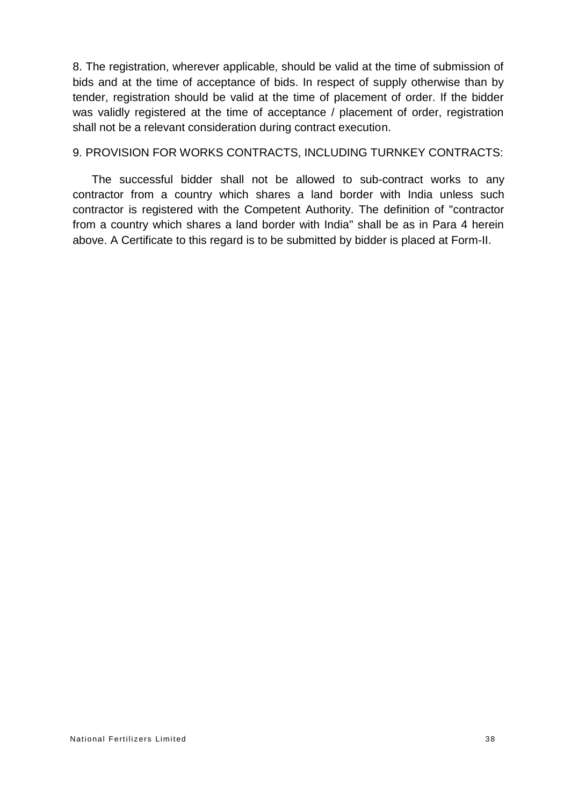8. The registration, wherever applicable, should be valid at the time of submission of bids and at the time of acceptance of bids. In respect of supply otherwise than by tender, registration should be valid at the time of placement of order. If the bidder was validly registered at the time of acceptance / placement of order, registration shall not be a relevant consideration during contract execution.

#### 9. PROVISION FOR WORKS CONTRACTS, INCLUDING TURNKEY CONTRACTS:

The successful bidder shall not be allowed to sub-contract works to any contractor from a country which shares a land border with India unless such contractor is registered with the Competent Authority. The definition of "contractor from a country which shares a land border with India" shall be as in Para 4 herein above. A Certificate to this regard is to be submitted by bidder is placed at Form-II.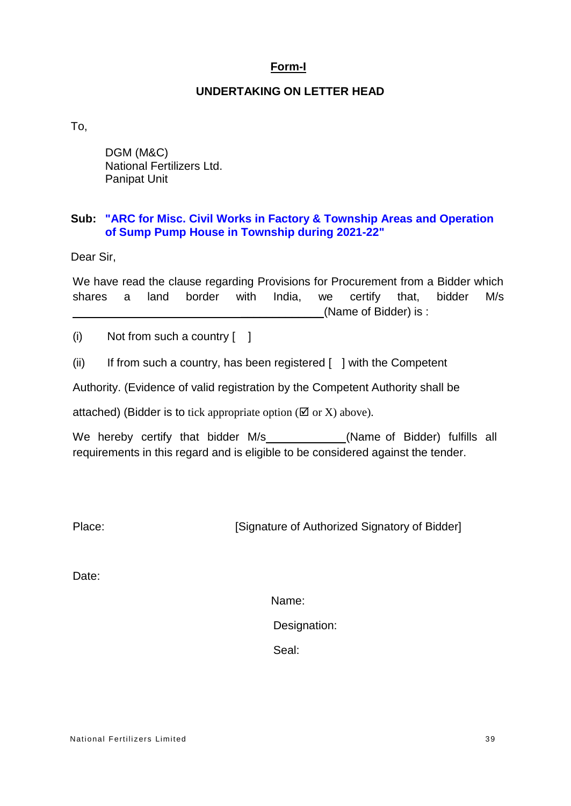## **Form-I**

## **UNDERTAKING ON LETTER HEAD**

To,

DGM (M&C) National Fertilizers Ltd. Panipat Unit

## **Sub: "ARC for Misc. Civil Works in Factory & Township Areas and Operation of Sump Pump House in Township during 2021-22"**

Dear Sir,

We have read the clause regarding Provisions for Procurement from a Bidder which shares a land border with India, we certify that, bidder M/s (Name of Bidder) is :

(i) Not from such a country [ ]

(ii) If from such a country, has been registered  $\lceil \ \rceil$  with the Competent

Authority. (Evidence of valid registration by the Competent Authority shall be

attached) (Bidder is to tick appropriate option ( $\boxtimes$  or X) above).

We hereby certify that bidder M/s (Name of Bidder) fulfills all requirements in this regard and is eligible to be considered against the tender.

Place: [Signature of Authorized Signatory of Bidder]

Date:

Name:

Designation:

Seal: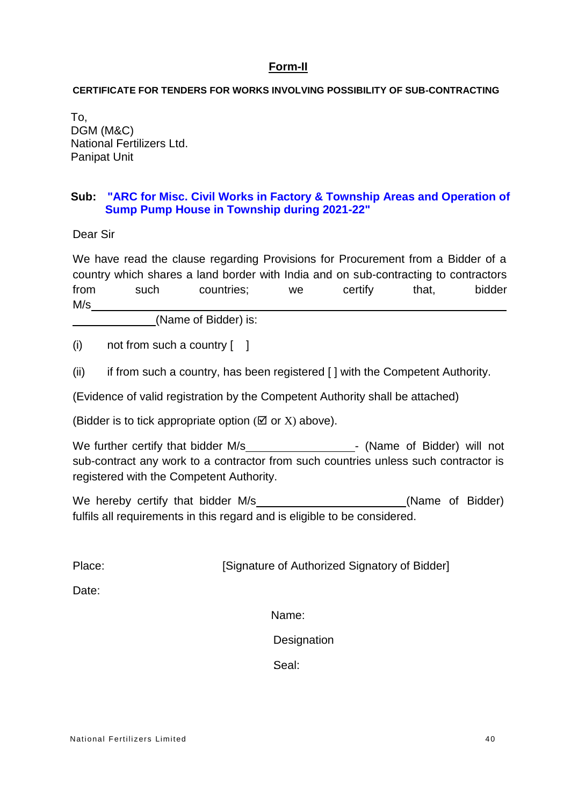## **Form-II**

#### **CERTIFICATE FOR TENDERS FOR WORKS INVOLVING POSSIBILITY OF SUB-CONTRACTING**

To, DGM (M&C) National Fertilizers Ltd. Panipat Unit

## **Sub: "ARC for Misc. Civil Works in Factory & Township Areas and Operation of Sump Pump House in Township during 2021-22"**

Dear Sir

We have read the clause regarding Provisions for Procurement from a Bidder of a country which shares a land border with India and on sub-contracting to contractors from such countries; we certify that, bidder M/s

(Name of Bidder) is:

(i) not from such a country  $\begin{bmatrix} 1 \end{bmatrix}$ 

(ii) if from such a country, has been registered  $\lceil \cdot \rceil$  with the Competent Authority.

(Evidence of valid registration by the Competent Authority shall be attached)

(Bidder is to tick appropriate option  $(\boxtimes$  or X) above).

We further certify that bidder M/s - (Name of Bidder) will not sub-contract any work to a contractor from such countries unless such contractor is registered with the Competent Authority.

We hereby certify that bidder M/s (Name of Bidder) fulfils all requirements in this regard and is eligible to be considered.

Place: [Signature of Authorized Signatory of Bidder]

Date:

Name:

**Designation** 

Seal: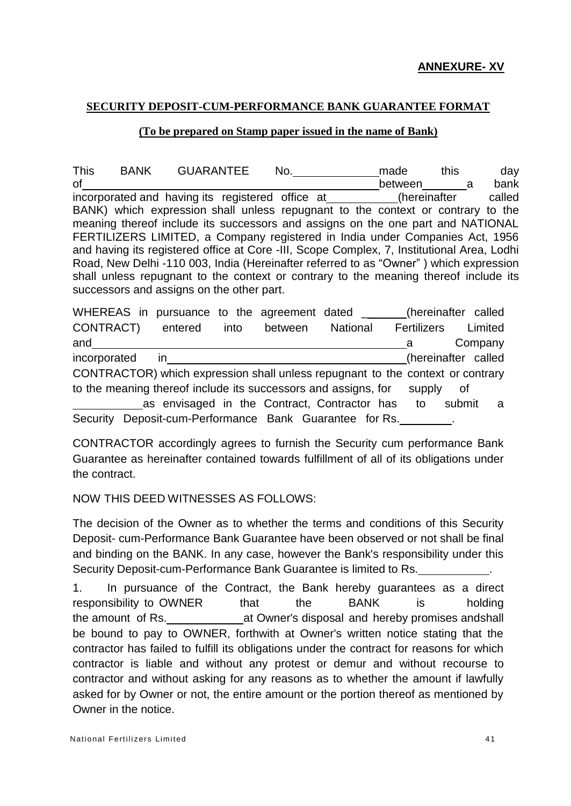## **SECURITY DEPOSIT-CUM-PERFORMANCE BANK GUARANTEE FORMAT**

## **(To be prepared on Stamp paper issued in the name of Bank)**

This BANK GUARANTEE No. made this day of between a bank incorporated and having its registered office at (hereinafter called BANK) which expression shall unless repugnant to the context or contrary to the meaning thereof include its successors and assigns on the one part and NATIONAL FERTILIZERS LIMITED, a Company registered in India under Companies Act, 1956 and having its registered office at Core -III, Scope Complex, 7, Institutional Area, Lodhi Road, New Delhi -110 003, India (Hereinafter referred to as "Owner" ) which expression shall unless repugnant to the context or contrary to the meaning thereof include its successors and assigns on the other part.

|                                                                                |  | WHEREAS in pursuance to the agreement dated _           |      |         |                 |  |             | (hereinafter called |         |
|--------------------------------------------------------------------------------|--|---------------------------------------------------------|------|---------|-----------------|--|-------------|---------------------|---------|
| CONTRACT)                                                                      |  | entered                                                 | into | between | <b>National</b> |  | Fertilizers |                     | Limited |
| and                                                                            |  |                                                         |      |         |                 |  |             |                     | Company |
| incorporated                                                                   |  | in.                                                     |      |         |                 |  |             | (hereinafter called |         |
| CONTRACTOR) which expression shall unless repugnant to the context or contrary |  |                                                         |      |         |                 |  |             |                     |         |
| to the meaning thereof include its successors and assigns, for<br>supply<br>of |  |                                                         |      |         |                 |  |             |                     |         |
|                                                                                |  | as envisaged in the Contract, Contractor has            |      |         |                 |  | to          | submit              | - a     |
|                                                                                |  | Security Deposit-cum-Performance Bank Guarantee for Rs. |      |         |                 |  |             |                     |         |

CONTRACTOR accordingly agrees to furnish the Security cum performance Bank Guarantee as hereinafter contained towards fulfillment of all of its obligations under the contract.

## NOW THIS DEED WITNESSES AS FOLLOWS:

The decision of the Owner as to whether the terms and conditions of this Security Deposit- cum-Performance Bank Guarantee have been observed or not shall be final and binding on the BANK. In any case, however the Bank's responsibility under this Security Deposit-cum-Performance Bank Guarantee is limited to Rs. .

1. In pursuance of the Contract, the Bank hereby guarantees as a direct responsibility to OWNER that the BANK is holding the amount of Rs. at Owner's disposal and hereby promises andshall be bound to pay to OWNER, forthwith at Owner's written notice stating that the contractor has failed to fulfill its obligations under the contract for reasons for which contractor is liable and without any protest or demur and without recourse to contractor and without asking for any reasons as to whether the amount if lawfully asked for by Owner or not, the entire amount or the portion thereof as mentioned by Owner in the notice.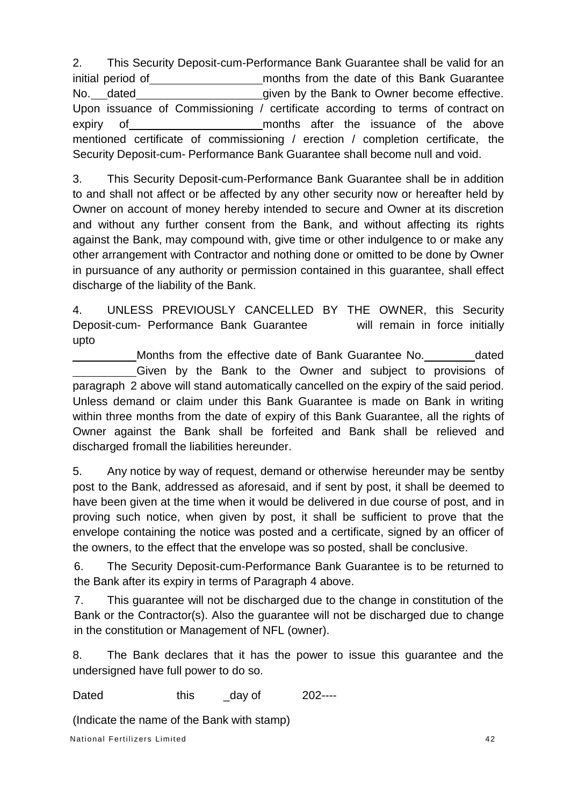2. This Security Deposit-cum-Performance Bank Guarantee shall be valid for an initial period of months from the date of this Bank Guarantee No. dated given by the Bank to Owner become effective. Upon issuance of Commissioning / certificate according to terms of contract on expiry of **must after** the issuance of the above mentioned certificate of commissioning / erection / completion certificate, the Security Deposit-cum- Performance Bank Guarantee shall become null and void.

3. This Security Deposit-cum-Performance Bank Guarantee shall be in addition to and shall not affect or be affected by any other security now or hereafter held by Owner on account of money hereby intended to secure and Owner at its discretion and without any further consent from the Bank, and without affecting its rights against the Bank, may compound with, give time or other indulgence to or make any other arrangement with Contractor and nothing done or omitted to be done by Owner in pursuance of any authority or permission contained in this guarantee, shall effect discharge of the liability of the Bank.

4. UNLESS PREVIOUSLY CANCELLED BY THE OWNER, this Security Deposit-cum- Performance Bank Guarantee will remain in force initially upto

Months from the effective date of Bank Guarantee No. dated Given by the Bank to the Owner and subject to provisions of paragraph 2 above will stand automatically cancelled on the expiry of the said period. Unless demand or claim under this Bank Guarantee is made on Bank in writing within three months from the date of expiry of this Bank Guarantee, all the rights of Owner against the Bank shall be forfeited and Bank shall be relieved and discharged fromall the liabilities hereunder.

5. Any notice by way of request, demand or otherwise hereunder may be sentby post to the Bank, addressed as aforesaid, and if sent by post, it shall be deemed to have been given at the time when it would be delivered in due course of post, and in proving such notice, when given by post, it shall be sufficient to prove that the envelope containing the notice was posted and a certificate, signed by an officer of the owners, to the effect that the envelope was so posted, shall be conclusive.

6. The Security Deposit-cum-Performance Bank Guarantee is to be returned to the Bank after its expiry in terms of Paragraph 4 above.

7. This guarantee will not be discharged due to the change in constitution of the Bank or the Contractor(s). Also the guarantee will not be discharged due to change in the constitution or Management of NFL (owner).

8. The Bank declares that it has the power to issue this guarantee and the undersigned have full power to do so.

Dated this day of 202----

(Indicate the name of the Bank with stamp)

National Fertilizers Limited 42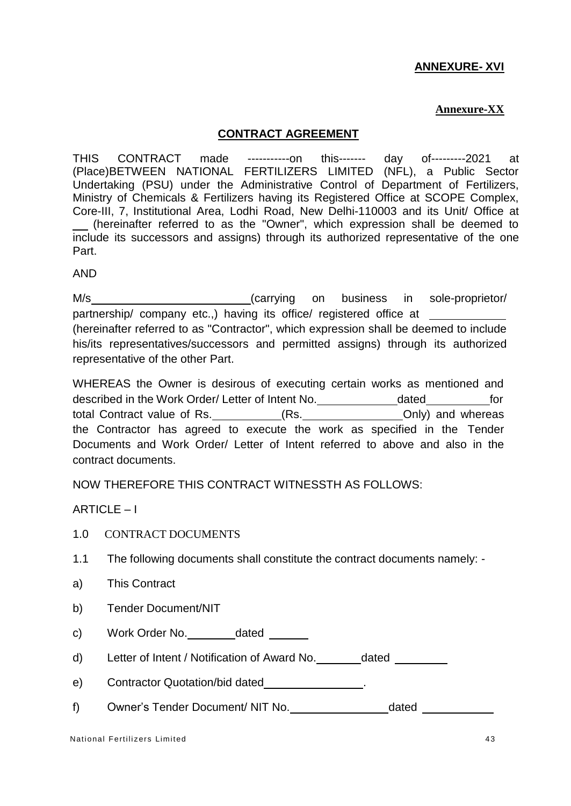# **ANNEXURE- XVI**

## **Annexure-XX**

## **CONTRACT AGREEMENT**

THIS CONTRACT made -----------on this------- day of---------2021 at (Place)BETWEEN NATIONAL FERTILIZERS LIMITED (NFL), a Public Sector Undertaking (PSU) under the Administrative Control of Department of Fertilizers, Ministry of Chemicals & Fertilizers having its Registered Office at SCOPE Complex, Core-III, 7, Institutional Area, Lodhi Road, New Delhi-110003 and its Unit/ Office at (hereinafter referred to as the "Owner", which expression shall be deemed to include its successors and assigns) through its authorized representative of the one Part.

AND

M/s (carrying on business in sole-proprietor/ partnership/ company etc.,) having its office/ registered office at (hereinafter referred to as "Contractor", which expression shall be deemed to include his/its representatives/successors and permitted assigns) through its authorized representative of the other Part.

WHEREAS the Owner is desirous of executing certain works as mentioned and described in the Work Order/ Letter of Intent No. dated for total Contract value of Rs. (Rs. Only) and whereas the Contractor has agreed to execute the work as specified in the Tender Documents and Work Order/ Letter of Intent referred to above and also in the contract documents.

NOW THEREFORE THIS CONTRACT WITNESSTH AS FOLLOWS:

ARTICLE – I

- 1.0 CONTRACT DOCUMENTS
- 1.1 The following documents shall constitute the contract documents namely: -
- a) This Contract
- b) Tender Document/NIT
- c) Work Order No. dated
- d) Letter of Intent / Notification of Award No. \_\_\_\_\_\_\_dated \_\_\_\_
- e) Contractor Quotation/bid dated **CONCO CONTROV**
- f) Owner's Tender Document/ NIT No. dated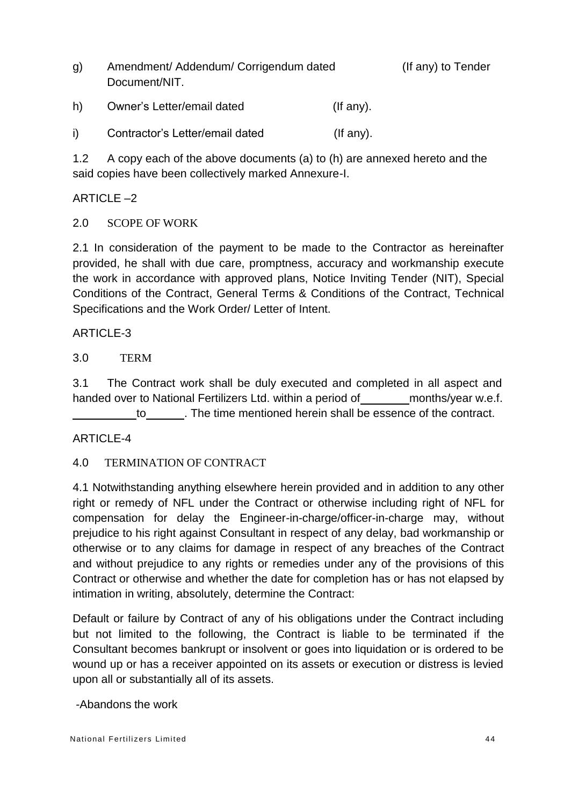g) Amendment/ Addendum/ Corrigendum dated (If any) to Tender Document/NIT.

| h) | Owner's Letter/email dated      | (If any). |
|----|---------------------------------|-----------|
|    | Contractor's Letter/email dated | (If any). |

1.2 A copy each of the above documents (a) to (h) are annexed hereto and the said copies have been collectively marked Annexure-I.

# ARTICLE  $-2$

2.0 SCOPE OF WORK

2.1 In consideration of the payment to be made to the Contractor as hereinafter provided, he shall with due care, promptness, accuracy and workmanship execute the work in accordance with approved plans, Notice Inviting Tender (NIT), Special Conditions of the Contract, General Terms & Conditions of the Contract, Technical Specifications and the Work Order/ Letter of Intent.

# ARTICLE-3

3.0 TERM

3.1 The Contract work shall be duly executed and completed in all aspect and handed over to National Fertilizers Ltd. within a period of months/year w.e.f. to . The time mentioned herein shall be essence of the contract.

# ARTICLE-4

# 4.0 TERMINATION OF CONTRACT

4.1 Notwithstanding anything elsewhere herein provided and in addition to any other right or remedy of NFL under the Contract or otherwise including right of NFL for compensation for delay the Engineer-in-charge/officer-in-charge may, without prejudice to his right against Consultant in respect of any delay, bad workmanship or otherwise or to any claims for damage in respect of any breaches of the Contract and without prejudice to any rights or remedies under any of the provisions of this Contract or otherwise and whether the date for completion has or has not elapsed by intimation in writing, absolutely, determine the Contract:

Default or failure by Contract of any of his obligations under the Contract including but not limited to the following, the Contract is liable to be terminated if the Consultant becomes bankrupt or insolvent or goes into liquidation or is ordered to be wound up or has a receiver appointed on its assets or execution or distress is levied upon all or substantially all of its assets.

# -Abandons the work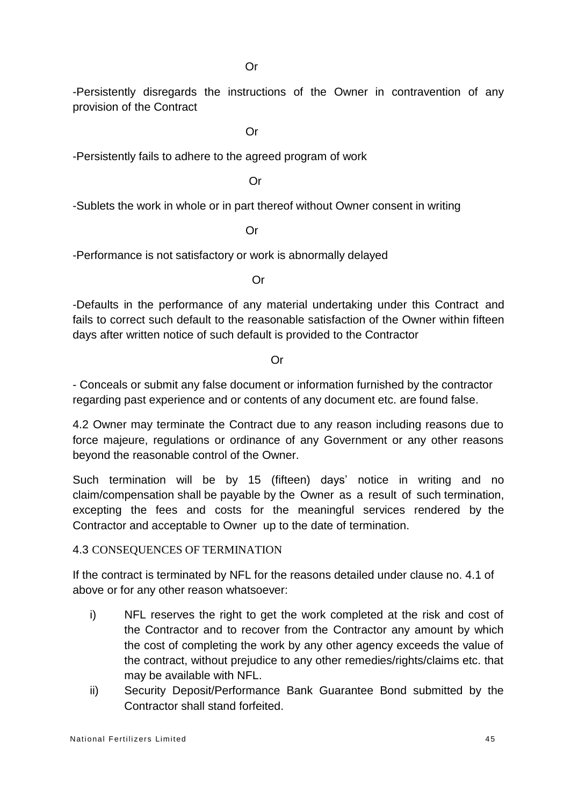-Persistently disregards the instructions of the Owner in contravention of any provision of the Contract

Or

-Persistently fails to adhere to the agreed program of work

Or

-Sublets the work in whole or in part thereof without Owner consent in writing

Or

-Performance is not satisfactory or work is abnormally delayed

Or

-Defaults in the performance of any material undertaking under this Contract and fails to correct such default to the reasonable satisfaction of the Owner within fifteen days after written notice of such default is provided to the Contractor

Or

- Conceals or submit any false document or information furnished by the contractor regarding past experience and or contents of any document etc. are found false.

4.2 Owner may terminate the Contract due to any reason including reasons due to force majeure, regulations or ordinance of any Government or any other reasons beyond the reasonable control of the Owner.

Such termination will be by 15 (fifteen) days' notice in writing and no claim/compensation shall be payable by the Owner as a result of such termination, excepting the fees and costs for the meaningful services rendered by the Contractor and acceptable to Owner up to the date of termination.

## 4.3 CONSEQUENCES OF TERMINATION

If the contract is terminated by NFL for the reasons detailed under clause no. 4.1 of above or for any other reason whatsoever:

- i) NFL reserves the right to get the work completed at the risk and cost of the Contractor and to recover from the Contractor any amount by which the cost of completing the work by any other agency exceeds the value of the contract, without prejudice to any other remedies/rights/claims etc. that may be available with NFL.
- ii) Security Deposit/Performance Bank Guarantee Bond submitted by the Contractor shall stand forfeited.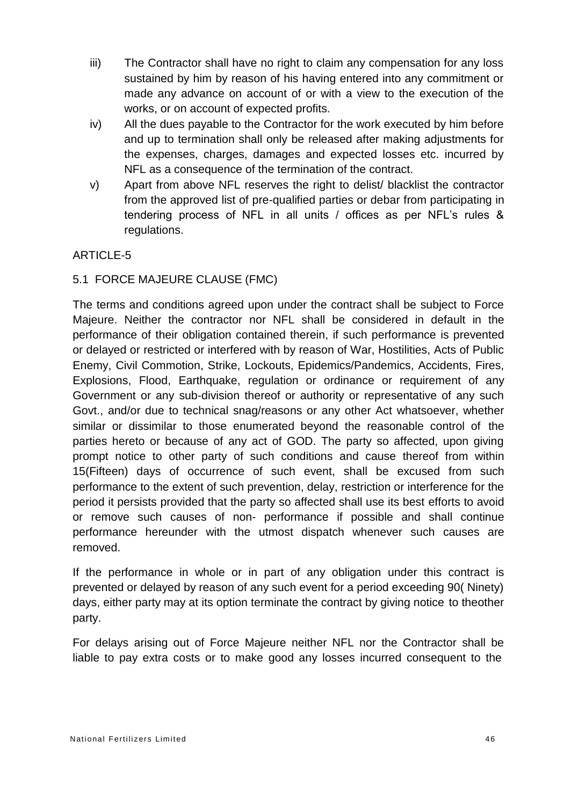- iii) The Contractor shall have no right to claim any compensation for any loss sustained by him by reason of his having entered into any commitment or made any advance on account of or with a view to the execution of the works, or on account of expected profits.
- iv) All the dues payable to the Contractor for the work executed by him before and up to termination shall only be released after making adjustments for the expenses, charges, damages and expected losses etc. incurred by NFL as a consequence of the termination of the contract.
- v) Apart from above NFL reserves the right to delist/ blacklist the contractor from the approved list of pre-qualified parties or debar from participating in tendering process of NFL in all units / offices as per NFL's rules & regulations.

# ARTICLE-5

## 5.1 FORCE MAJEURE CLAUSE (FMC)

The terms and conditions agreed upon under the contract shall be subject to Force Majeure. Neither the contractor nor NFL shall be considered in default in the performance of their obligation contained therein, if such performance is prevented or delayed or restricted or interfered with by reason of War, Hostilities, Acts of Public Enemy, Civil Commotion, Strike, Lockouts, Epidemics/Pandemics, Accidents, Fires, Explosions, Flood, Earthquake, regulation or ordinance or requirement of any Government or any sub-division thereof or authority or representative of any such Govt., and/or due to technical snag/reasons or any other Act whatsoever, whether similar or dissimilar to those enumerated beyond the reasonable control of the parties hereto or because of any act of GOD. The party so affected, upon giving prompt notice to other party of such conditions and cause thereof from within 15(Fifteen) days of occurrence of such event, shall be excused from such performance to the extent of such prevention, delay, restriction or interference for the period it persists provided that the party so affected shall use its best efforts to avoid or remove such causes of non- performance if possible and shall continue performance hereunder with the utmost dispatch whenever such causes are removed.

If the performance in whole or in part of any obligation under this contract is prevented or delayed by reason of any such event for a period exceeding 90( Ninety) days, either party may at its option terminate the contract by giving notice to theother party.

For delays arising out of Force Majeure neither NFL nor the Contractor shall be liable to pay extra costs or to make good any losses incurred consequent to the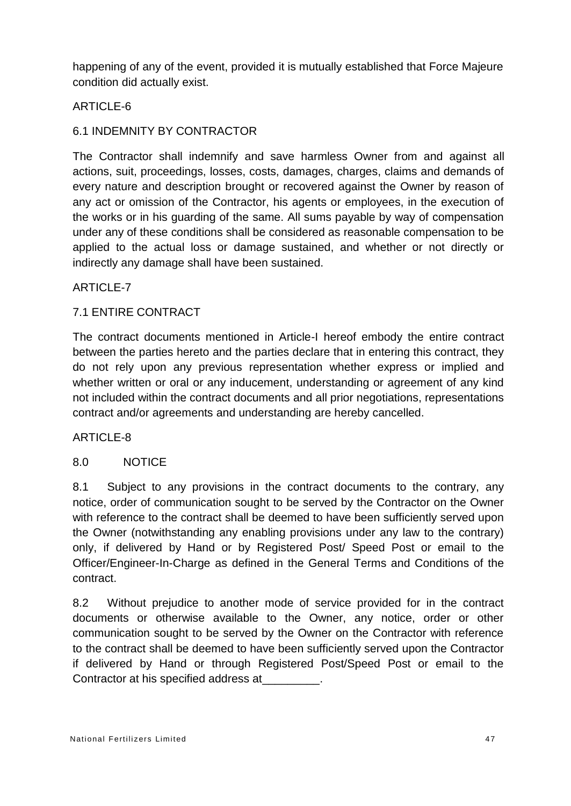happening of any of the event, provided it is mutually established that Force Majeure condition did actually exist.

# ARTICLE-6

# 6.1 INDEMNITY BY CONTRACTOR

The Contractor shall indemnify and save harmless Owner from and against all actions, suit, proceedings, losses, costs, damages, charges, claims and demands of every nature and description brought or recovered against the Owner by reason of any act or omission of the Contractor, his agents or employees, in the execution of the works or in his guarding of the same. All sums payable by way of compensation under any of these conditions shall be considered as reasonable compensation to be applied to the actual loss or damage sustained, and whether or not directly or indirectly any damage shall have been sustained.

# ARTICLE-7

# 7.1 ENTIRE CONTRACT

The contract documents mentioned in Article-I hereof embody the entire contract between the parties hereto and the parties declare that in entering this contract, they do not rely upon any previous representation whether express or implied and whether written or oral or any inducement, understanding or agreement of any kind not included within the contract documents and all prior negotiations, representations contract and/or agreements and understanding are hereby cancelled.

# ARTICLE-8

## 8.0 NOTICE

8.1 Subject to any provisions in the contract documents to the contrary, any notice, order of communication sought to be served by the Contractor on the Owner with reference to the contract shall be deemed to have been sufficiently served upon the Owner (notwithstanding any enabling provisions under any law to the contrary) only, if delivered by Hand or by Registered Post/ Speed Post or email to the Officer/Engineer-In-Charge as defined in the General Terms and Conditions of the contract.

8.2 Without prejudice to another mode of service provided for in the contract documents or otherwise available to the Owner, any notice, order or other communication sought to be served by the Owner on the Contractor with reference to the contract shall be deemed to have been sufficiently served upon the Contractor if delivered by Hand or through Registered Post/Speed Post or email to the Contractor at his specified address at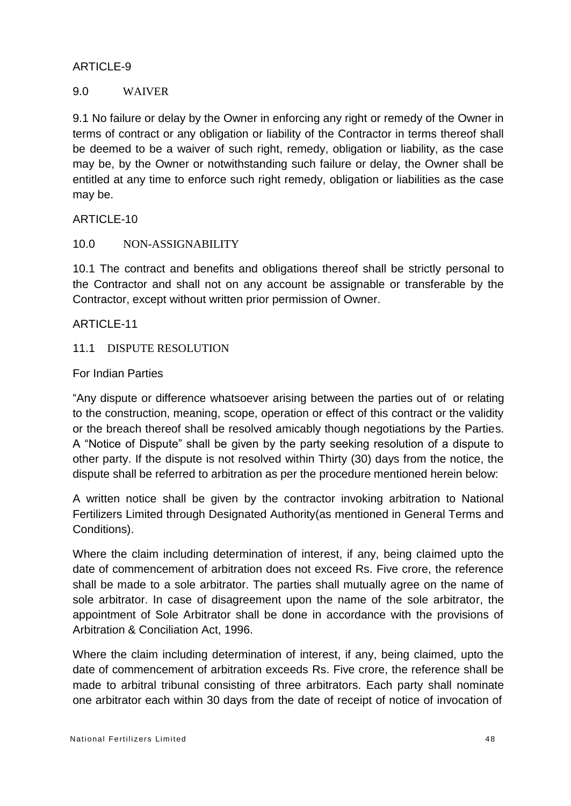## ARTICLE-9

## 9.0 WAIVER

9.1 No failure or delay by the Owner in enforcing any right or remedy of the Owner in terms of contract or any obligation or liability of the Contractor in terms thereof shall be deemed to be a waiver of such right, remedy, obligation or liability, as the case may be, by the Owner or notwithstanding such failure or delay, the Owner shall be entitled at any time to enforce such right remedy, obligation or liabilities as the case may be.

**ARTICLE-10** 

## 10.0 NON-ASSIGNABILITY

10.1 The contract and benefits and obligations thereof shall be strictly personal to the Contractor and shall not on any account be assignable or transferable by the Contractor, except without written prior permission of Owner.

ARTICLE-11

#### 11.1 DISPUTE RESOLUTION

#### For Indian Parties

"Any dispute or difference whatsoever arising between the parties out of or relating to the construction, meaning, scope, operation or effect of this contract or the validity or the breach thereof shall be resolved amicably though negotiations by the Parties. A "Notice of Dispute" shall be given by the party seeking resolution of a dispute to other party. If the dispute is not resolved within Thirty (30) days from the notice, the dispute shall be referred to arbitration as per the procedure mentioned herein below:

A written notice shall be given by the contractor invoking arbitration to National Fertilizers Limited through Designated Authority(as mentioned in General Terms and Conditions).

Where the claim including determination of interest, if any, being claimed upto the date of commencement of arbitration does not exceed Rs. Five crore, the reference shall be made to a sole arbitrator. The parties shall mutually agree on the name of sole arbitrator. In case of disagreement upon the name of the sole arbitrator, the appointment of Sole Arbitrator shall be done in accordance with the provisions of Arbitration & Conciliation Act, 1996.

Where the claim including determination of interest, if any, being claimed, upto the date of commencement of arbitration exceeds Rs. Five crore, the reference shall be made to arbitral tribunal consisting of three arbitrators. Each party shall nominate one arbitrator each within 30 days from the date of receipt of notice of invocation of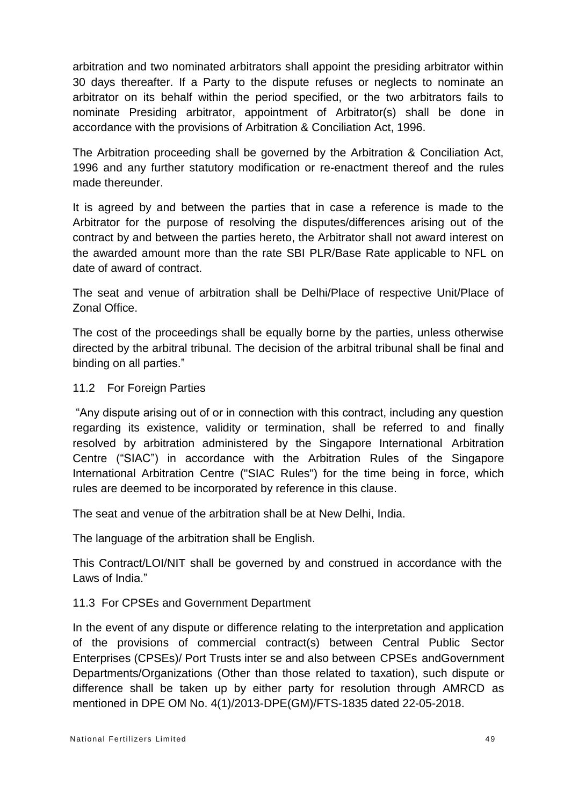arbitration and two nominated arbitrators shall appoint the presiding arbitrator within 30 days thereafter. If a Party to the dispute refuses or neglects to nominate an arbitrator on its behalf within the period specified, or the two arbitrators fails to nominate Presiding arbitrator, appointment of Arbitrator(s) shall be done in accordance with the provisions of Arbitration & Conciliation Act, 1996.

The Arbitration proceeding shall be governed by the Arbitration & Conciliation Act, 1996 and any further statutory modification or re-enactment thereof and the rules made thereunder.

It is agreed by and between the parties that in case a reference is made to the Arbitrator for the purpose of resolving the disputes/differences arising out of the contract by and between the parties hereto, the Arbitrator shall not award interest on the awarded amount more than the rate SBI PLR/Base Rate applicable to NFL on date of award of contract.

The seat and venue of arbitration shall be Delhi/Place of respective Unit/Place of Zonal Office.

The cost of the proceedings shall be equally borne by the parties, unless otherwise directed by the arbitral tribunal. The decision of the arbitral tribunal shall be final and binding on all parties."

## 11.2 For Foreign Parties

"Any dispute arising out of or in connection with this contract, including any question regarding its existence, validity or termination, shall be referred to and finally resolved by arbitration administered by the Singapore International Arbitration Centre ("SIAC") in accordance with the Arbitration Rules of the Singapore International Arbitration Centre ("SIAC Rules") for the time being in force, which rules are deemed to be incorporated by reference in this clause.

The seat and venue of the arbitration shall be at New Delhi, India.

The language of the arbitration shall be English.

This Contract/LOI/NIT shall be governed by and construed in accordance with the Laws of India."

# 11.3 For CPSEs and Government Department

In the event of any dispute or difference relating to the interpretation and application of the provisions of commercial contract(s) between Central Public Sector Enterprises (CPSEs)/ Port Trusts inter se and also between CPSEs andGovernment Departments/Organizations (Other than those related to taxation), such dispute or difference shall be taken up by either party for resolution through AMRCD as mentioned in DPE OM No. 4(1)/2013-DPE(GM)/FTS-1835 dated 22-05-2018.